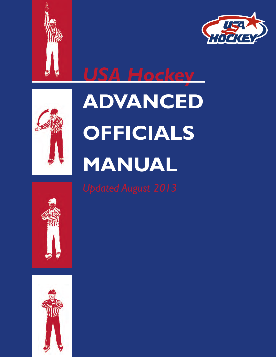







**ADVANCED OffiCiAls MANuAl**



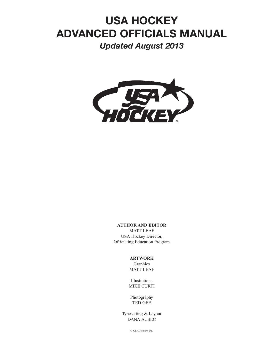# **USA HOCKEY ADVANCED OFFICIALS MANUAL**

*Updated August 2013*



#### **AUTHOR AND EDITOR**

MATT LEAF USA Hockey Director, Officiating Education Program

#### **ARTWORK**

Graphics MATT LEAF

Illustrations MIKE CURTI

Photography TED GEE

Typesetting & Layout DANA AUSEC

© USA Hockey, Inc.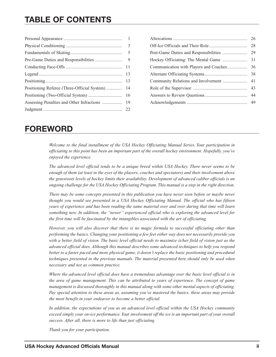|                                             | $\mathbf{1}$ |
|---------------------------------------------|--------------|
|                                             | 3            |
|                                             | 5            |
|                                             | 9            |
|                                             | 11           |
|                                             | 13           |
|                                             | 13           |
| Positioning Referee (Three-Official System) | 14           |
|                                             | 16           |
|                                             | 19           |
|                                             | 22           |
|                                             |              |

|  | 26 |  |
|--|----|--|
|  |    |  |
|  |    |  |
|  |    |  |
|  |    |  |
|  |    |  |
|  |    |  |
|  |    |  |
|  |    |  |
|  |    |  |

## **FOREWORD**

*Welcome to the final installment of the USA Hockey Officiating Manual Series. Your participation in officiating to this point has been an important part of the overall hockey environment. Hopefully, you've enjoyed the experience.*

*The advanced level official tends to be a unique breed within USA Hockey. There never seems to be enough of them (at least in the eyes of the players, coaches and spectators) and their involvement above the grassroots levels of hockey limits their availability. Development of advanced caliber officials is an ongoing challenge for the USA Hockey Officiating Program. This manual is a step in the right direction.* 

*There may be some concepts presented in this publication you have never seen before or maybe never thought you would see presented in a USA Hockey Officiating Manual. The official who has fifteen years of experience and has been reading the same material over and over during that time will learn something new. In addition, the "newer" experienced official who is exploring the advanced level for the first time will be fascinated by the intangibles associated with the art of officiating.*

*However, you will also discover that there is no magic formula to successful officiating other than performing the basics. Changing your positioning a few feet either way does not necessarily provide you with a better field of vision. The basic level official needs to maximize is/her field of vision just as the advanced official does. Although this manual describes some advanced techniques to help you respond better to a faster paced and more physical game, it doesn't replace the basic positioning and procedural techniques presented in the previous manuals. The material presented here should only be used when necessary and not as common practice.*

*Where the advanced level official does have a tremendous advantage over the basic level official is in the area of game management. This can be attributed to years of experience. The concept of game management is discussed thoroughly in this manual along with some other mental aspects of officiating. Pay special attention to these areas as, assuming you've mastered the basics, these areas may provide the most benefit in your endeavor to become a better official.*

*In addition, the expectations of you as an advanced level official within the USA Hockey community exceed simply your on-ice performance. Your involvement off the ice is an important part of your overall success. After all, there is more to life than just officiating.*

*Thank you for your participation.*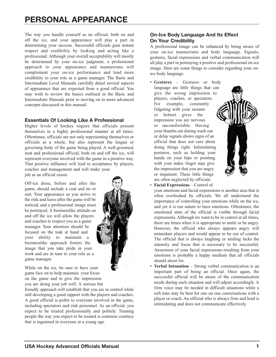The way you handle yourself as an official, both on and off the ice, and your appearance will play a part in determining your success. Successful officials gain instant respect and credibility by looking and acting like a professional. Although your overall acceptability will mostly be determined by your on-ice judgment, a professional approach to your appearance and mannerisms will complement your on-ice performance and lend more credibility to your role as a game manager. The Basic and Intermediate Level Manuals carefully detail several aspects of appearance that are expected from a good official. You may wish to review the basics outlined in the Basic and Intermediate Manuals prior to moving on to more advanced concepts discussed in this manual.

## **Essentials Of Looking Like A Professional**

Higher levels of hockey require that officials present themselves in a highly professional manner at all times. Oftentimes, officials are not only representing themselves or officials as a whole, but also represent the league or governing body of the game being played. A well-groomed, neat and professional official, both on and off the ice, will represent everyone involved with the game in a positive way. That positive influence will lead to acceptance by players, coaches and management and will make your job as an official easier.

Off-ice dress, before and after the game, should include a coat and tie or suit. Your appearance as you arrive to the rink and leave after the game will be noticed, and a professional image must be portrayed. A businesslike attitude on and off the ice will allow the players and coaches to respect you as a game manager. Your attention should be focused on the task at hand and your ability to maintain a businesslike approach fosters the image that you take pride in your work and are in tune to your role as a game manager.

While on the ice, be sure to have your game face on to help maintain your focus on the game and to give the impression you are doing your job well. A serious but

friendly approach will establish that you are in control while still developing a good rapport with the players and coaches. A good official is polite to everyone involved in the game, including spectators and rink personnel. As an official, you expect to be treated professionally and politely. Treating people the way you expect to be treated is common courtesy that is ingrained in everyone at a young age.

## **On-Ice Body Language And Its Effect On Your Credibility**

A professional image can be enhanced by being aware of your on-ice mannerisms and body language. Signals, gestures, facial expressions and verbal communication will all play a part in portraying a positive and professional on-ice image. Here are some things to consider regarding your onice body language.

• **Gestures** – Gestures or body language are little things that can give the wrong impression to players, coaches, or spectators. For example, constantly fidgeting with your sweater or helmet gives the impression you are nervous or uncomfortable. Having your thumbs out during wash out or delay signals shows signs of an official that does not care about doing things right. Intimidating postures, such as holding your hands on your hips or pointing with your index finger may give the impression that you are angry or impatient. These little things are often neglected by officials.

<span id="page-3-0"></span>

• **Facial Expressions** – Control of

your emotions and facial expressions is another area that is often overlooked by officials. We all understand the importance of controlling your emotions while on the ice, and yet it is our nature to have emotions. Oftentimes, the emotional state of the official is visible through facial expressions. Although we want to be in control at all times, there are times when it is appropriate to smile or be angry. However, the official who always appears angry will intimidate players and would appear to be out of control. The official that is always laughing or smiling lacks the intensity and focus that is necessary to be successful. Awareness of your facial expressions resulting from your emotions is probably a happy medium that all officials should shoot for.

**Verbal Intonation** – Strong verbal communication is an important part of being an official. Once again, the successful official will be aware of the communication needs during each situation and will adjust accordingly. A firm voice may be needed in difficult situations while a soft tone may be best for one on one conversations with a player or coach. An official who is always firm and loud is intimidating and does not communicate effectively.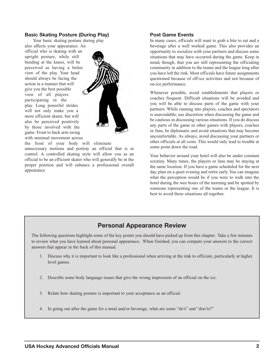### **Basic Skating Posture (During Play)**

Your basic skating posture during play also affects your appearance. An official who is skating with an upright posture, while still bending at the knees, will be perceived as having a better view of the play. Your head should always be facing the action in a manner that will give you the best possible view of all players participating in the play. Long powerful strides will not only make you a more efficient skater, but will also be perceived positively by those involved with the game. Front to back arm swing with minimal movement across

appearance



the front of your body will eliminate unnecessary motions and portray an official that is in control. A controlled skating style will allow you as an official to be an efficient skater who will generally be in the proper position and will enhance a professional overall

#### **Post Game Events**

In many cases, officials will want to grab a bite to eat and a beverage after a well worked game. This also provides an opportunity to socialize with your partners and discuss some situations that may have occurred during the game. Keep in mind, though, that you are still representing the officiating community in addition to the teams and the league long after you have left the rink. Most officials have future assignments questioned because of off-ice activities and not because of on-ice performance.

Whenever possible, avoid establishments that players or coaches frequent. Difficult situations will be avoided and you will be able to discuss parts of the game with your partners. While running into players, coaches and spectators is unavoidable, use discretion when discussing the game and be cautious in discussing various situations. If you do discuss any parts of the game or other games with players, coaches or fans, be diplomatic and avoid situations that may become uncomfortable. As always, avoid discussing your partners or other officials at all costs. This would only lead to trouble at some point down the road.

Your behavior around your hotel will also be under constant scrutiny. Many times, the players or fans may be staying at the same location. If you have a game scheduled for the next day, plan on a quiet evening and retire early. You can imagine what the perception would be if you were to walk into the hotel during the wee hours of the morning and be spotted by someone representing one of the teams or the league. It is best to avoid these situations all together.

## **Personal Appearance Review**

The following questions highlight some of the key points you should have picked up from this chapter. Take a few minutes to review what you have learned about personal appearance. When finished, you can compare your answers to the correct answers that appear in the back of this manual.

- 1. Discuss why it is important to look like a professional when arriving at the rink to officiate, particularly at higher level games.
- 2. Describe some body language issues that give the wrong impression of an official on the ice.
- 3. Relate how skating posture is important to your acceptance as an official.
- 4. In going out after the game for a meal and/or beverage, what are some "do's" and "don'ts?"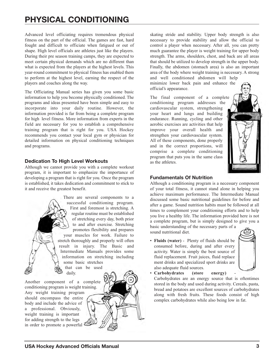# **PHYSICAL CONDITIONING**

Advanced level officiating requires tremendous physical fitness on the part of the official. The games are fast, hard fought and difficult to officiate when fatigued or out of shape. High level officials are athletes just like the players. During their pre season training camps, they are expected to meet certain physical demands which are no different than what is expected from the players at the highest levels. This year-round commitment to physical fitness has enabled them to perform at the highest level, earning the respect of the players and coaches along the way.

The Officiating Manual series has given you some basic information to help you become physically conditioned. The programs and ideas presented have been simple and easy to incorporate into your daily routine. However, the information provided is far from being a complete program for high level fitness. More information from experts in the field are necessary for you to establish a comprehensive training program that is right for you. USA Hockey recommends you contact your local gym or physician for detailed information on physical conditioning techniques and programs.

## **Dedication To High Level Workouts**

Although we cannot provide you with a complete workout program, it is important to emphasize the importance of developing a program that is right for you. Once the program is established, it takes dedication and commitment to stick to it and receive the greatest benefit.

> There are several components to a successful conditioning program. First and foremost is stretching. A regular routine must be established of stretching every day, both prior to and after exercise. Stretching promotes flexibility and prepares your muscles for work. Failure to stretch thoroughly and properly will often result in injury. The Basic and Intermediate Manuals provides some information on stretching including some basic stretches that can be used daily.

Another component of a complete conditioning program is weight training. Any weight training program should encompass the entire body and include the advice of a professional. Obviously, weight training is important for adding strength to the legs in order to promote a powerful



skating stride and stability. Upper body strength is also necessary to provide stability and allow the official to control a player when necessary. After all, you can pretty much guarantee the player is weight training for upper body strength. The arms, shoulders, chest, and back are all areas that should be utilized to develop strength in the upper body. Finally, the abdomen (stomach area) is also an important area of the body where weight training is necessary. A strong

and well conditioned abdomen will help minimize lower back pain and enhance the official's appearance.

The final component of a complete conditioning program addresses the cardiovascular system, strengthening your heart and lungs and building endurance. Running, cycling and other aerobic exercises are activities that help improve your overall health and strengthen your cardiovascular system. All of these components, done properly and in the correct proportions, will comprise a complete conditioning program that puts you in the same class as the athletes.

<span id="page-5-0"></span>

### **Fundamentals Of Nutrition**

Although a conditioning program is a necessary component of your total fitness, it cannot stand alone in helping you achieve maximum performance. The Intermediate Manual discussed some basic nutritional guidelines for before and after a game. Sound nutrition habits must be followed at all times to complement your conditioning efforts and to help you live a healthy life. The information provided here is not a complete program, but is simply designed to give you a

basic understanding of the necessary parts of a sound nutritional diet.

• **Fluids (water)** - Plenty of fluids should be consumed before, during and after every activity. Water is simply the best source of fluid replacement. Fruit juices, fluid replace ment drinks and specialized sport drinks are also adequate fluid sources.



Carbohydrates (store energy) Carbohydrates are an energy source that is oftentimes

stored in the body and used during activity. Cereals, pasta, bread and potatoes are excellent sources of carbohydrates along with fresh fruits. These foods consist of high complex carbohydrates while also being low in fat.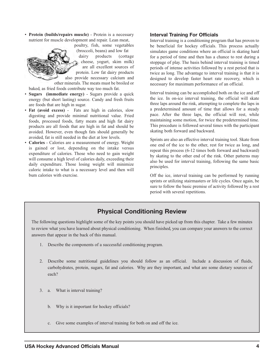• **Protein (builds/repairs muscle)** - Protein is a necessary nutrient for muscle development and repair. Lean meat,



poultry, fish, some vegetables (broccoli, beans) and low fat dairy products (cottage cheese, yogurt, skim milk) are all excellent sources of

protein. Low fat dairy products also provide necessary calcium and other minerals. The meats must be broiled or

baked, as fried foods contribute way too much fat.

- **Sugars (immediate energy)** Sugars provide a quick energy (but short lasting) source. Candy and fresh fruits are foods that are high in sugar.
- **Fat (avoid excess)** Fats are high in calories, slow digesting and provide minimal nutritional value. Fried foods, processed foods, fatty meats and high fat dairy products are all foods that are high in fat and should be avoided. However, even though fats should generally be avoided, fat is still needed in the diet at low levels.
- **Calories** Calories are a measurement of energy. Weight is gained or lost, depending on the intake versus expenditure of calories. Those who need to gain weight will consume a high level of calories daily, exceeding their daily expenditure. Those losing weight will minimize caloric intake to what is a necessary level and then will bum calories with exercise.

#### **Interval Training For Officials**

Interval training is a conditioning program that has proven to be beneficial for hockey officials. This process actually simulates game conditions where an official is skating hard for a period of time and then has a chance to rest during a stoppage of play. The basis behind interval training is timed periods of intense activities followed by a rest period that is twice as long. The advantage to interval training is that it is designed to develop faster heart rate recovery, which is necessary for maximum performance of an official.

Interval training can be accomplished both on the ice and off the ice. In on-ice interval training, the official will skate three laps around the rink, attempting to complete the laps in a predetermined amount of time that allows for a steady pace. After the three laps, the official will rest, while maintaining some motion, for twice the predetermined time. This procedure is followed several times with the participant skating both forward and backward.

Sprints are also an effective interval training tool. Skate from one end of the ice to the other, rest for twice as long, and repeat this process (6-12 times both forward and backward) by skating to the other end of the rink. Other patterns may also be used for interval training, following the same basic principles.

Off the ice, interval training can be performed by running sprints or utilizing stairmasters or life cycles. Once again, be sure to follow the basic premise of activity followed by a rest period with several repetitions.

## **Physical Conditioning Review**

The following questions highlight some of the key points you should have picked up from this chapter. Take a few minutes to review what you have learned about physical conditioning. When finished, you can compare your answers to the correct answers that appear in the back of this manual.

- 1. Describe the components of a successful conditioning program.
- 2. Describe some nutritional guidelines you should follow as an official. Include a discussion of fluids, carbohydrates, protein, sugars, fat and calories. Why are they important, and what are some dietary sources of each?
- 3. a. What is interval training?
	- b. Why is it important for hockey officials?
	- c. Give some examples of interval training for both on and off the ice.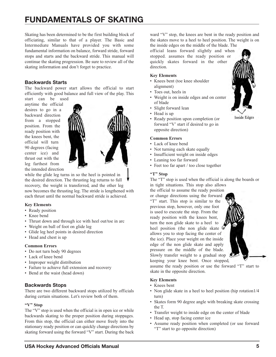# **FUNDAMENTALS OF SKATING**

Skating has been determined to be the first building block of officiating, similar to that of a player. The Basic and Intermediate Manuals have provided you with some fundamental information on balance, forward stride, forward stops and starts and the backward stride. This manual will continue the skating progression. Be sure to review all of the skating information and don't forget to practice.

### **Backwards Starts**

The backward power start allows the official to start efficiently with good balance and full view of the play. This start can be used

anytime the official desires to go in a backward direction from a stopped position. From the ready position with the knees bent, the official will turn 90 degrees (facing center ice) and thrust out with the leg farthest from the intended direction



while the glide leg turns in so the heel is pointed in the desired direction. The thrusting leg returns to full recovery, the weight is transferred, and the other leg now becomes the thrusting leg. The stride is lengthened with each thrust until the normal backward stride is achieved.

## **Key Elements**

- Ready position
- Knee bend
- Thrust down and through ice with heel out/toe in arc
- Weight on ball of foot on glide leg
- Glide leg heel points in desired direction
- Head and chest is up

#### **Common Errors**

- Do not turn body 90 degrees
- Lack of knee bend
- Improper weight distribution
- Failure to achieve full extension and recovery
- Bend at the waist (head down)

## **Backwards Stops**

There are two different backward stops utilized by officials during certain situations. Let's review both of them.

#### **"V" Stop**

The "V" stop is used when the official is in open ice or while backwards skating to the proper position during stoppages. From this stop, the official can either move freely into the stationary ready position or can quickly change directions by skating forward using the forward "V" start. During the back

ward "V" stop, the knees are bent in the ready position and the skates move to a heel to heel position. The weight is on the inside edges on the middle of the blade. The

official leans forward slightly and when stopped. assumes the ready position or quickly skates forward in the other direction.

#### **Key Elements**

- Knees bent (toe knee shoulder alignment)
- Toes out, heels in
- Weight is on inside edges and on center of blade
- Slight forward lean
- Head is up
- Ready position upon completion (or forward "V' start if desired to go in opposite direction)

#### **Common Errors**

- Lack of knee bend
- Not turning each skate equally
- Insufficient weight on inside edges
- Leaning too far forward
- Feet too far apart / too close together

### **"T" Stop**

The "T" stop is used when the official is along the boards or in tight situations. This stop also allows

assume the ready position or use the forward "T" start to

• Non glide skate in a heel to heel position (hip rotation  $1/4$ 

• Skates form 90 degree angle with breaking skate crossing

• Assume ready position when completed (or use forward

• Transfer weight to inside edge on the center of blade

the official to assume the ready position or change directions using the forward "T" start. This stop is similar to the previous stop, however, only one foot is used to execute the stop. From the ready position with the knees bent, turn the non glide skate to a heel to heel position (the non glide skate allows you to stop facing the center of the ice). Place your weight on the inside edge of the non glide skate and apply pressure on the middle of the blade. Slowly transfer weight to a gradual stop keeping your knee bent. Once stopped,

skate in the opposite direction.

• Head up, stop facing center ice

"T" start to go opposite direction)

**Key Elements** • Knees bent

turn)

the T.

**Inside Edges** 

<span id="page-7-0"></span>

**USA Hockey Advanced Officials Manual 5**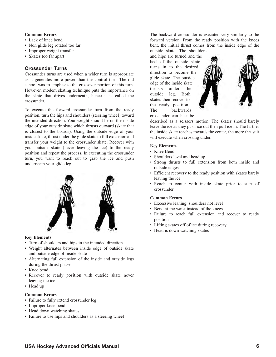#### **Common Errors**

- Lack of knee bend
- Non glide leg rotated too far
- Improper weight transfer
- Skates too far apart

#### **Crossunder Turns**

Crossunder turns are used when a wider turn is appropriate as it generates more power than the control turn. The old school was to emphasize the crossover portion of this turn. However, modem skating technique puts the importance on the skate that drives underneath, hence it is called the crossunder.

To execute the forward crossunder turn from the ready position, turn the hips and shoulders (steering wheel) toward the intended direction. Your weight should be on the inside edge of your outside skate which thrusts outward (skate that is closest to the boards). Using the outside edge of your inside skate, thrust under the glide skate to full extension and transfer your weight to the crossunder skate. Recover with your outside skate (never leaving the ice) to the ready position and repeat the process. In executing the crossunder turn, you want to reach out to grab the ice and push underneath your glide leg.



#### **Key Elements**

- Turn of shoulders and hips in the intended direction
- Weight alternates between inside edge of outside skate and outside edge of inside skate
- Alternating full extension of the inside and outside legs during the thrust phase
- Knee bend
- Recover to ready position with outside skate never leaving the ice
- Head up

#### **Common Errors**

- Failure to fully extend crossunder leg
- Improper knee bend
- Head down watching skates
- Failure to use hips and shoulders as a steering wheel

The backward crossunder is executed very similarly to the forward version. From the ready position with the knees bent, the initial thrust comes from the inside edge of the outside skate. The shoulders

and hips are turned and the heel of the outside skate turns in to the desired direction to become the glide skate. The outside edge of the inside skate thrusts under the outside leg. Both skates then recover to the ready position. The backwards crossunder can best be



described as a scissors motion. The skates should barely leave the ice as they push ice out then pull ice in. The farther the inside skate reaches towards the center, the more thrust it will execute when crossing under.

#### **Key Elements**

- Knee Bend
- Shoulders level and head up
- Strong thrusts to full extension from both inside and outside edges
- Efficient recovery to the ready position with skates barely leaving the ice
- Reach to center with inside skate prior to start of crossunder

#### **Common Errors**

- Excessive leaning, shoulders not level
- Bend at the waist instead of the knees
- Failure to reach full extension and recover to ready position
- Lifting skates off of ice during recovery
- Head is down watching skates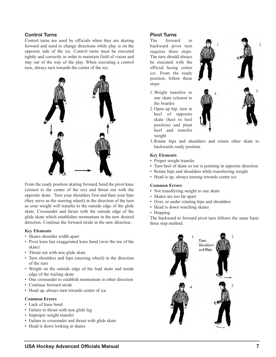## **Control Turns**

Control turns are used by officials when they are skating forward and need to change directions while play is on the opposite side of the ice. Control turns must be executed tightly and correctly in order to maintain field of vision and stay out of the way of the play. When executing a control turn, always turn towards the center of the ice.



From the ready position skating forward, bend the pivot knee (closest to the center of the ice) and thrust out with the opposite skate. Turn your shoulders first and then your hips (they serve as the steering wheel) in the direction of the turn as your weight will transfer to the outside edge of the glide skate. Crossunder and thrust with the outside edge of the glide skate which establishes momentum in the new desired direction. Continue the forward stride in the new direction.

#### **Key Elements**

- Skates shoulder width apart
- Pivot knee has exaggerated knee bend (over the toe of the skate)
- Thrust out with non glide skate
- Turn shoulders and hips (steering wheel) in the direction of the turn
- Weight on the outside edge of the lead skate and inside edge of the trailing skate
- One crossunder to establish momentum in other direction
- Continue forward stride
- Head up, always turn towards center of ice

#### **Common Errors**

- Lack of knee bend
- Failure to thrust with non glide leg
- Improper weight transfer
- Failure to crossunder and thrust with glide skate
- Head is down looking at skates

### **Pivot Turns**

The forward to backward pivot turn requires three steps. The turn should always be executed with the official facing center ice. From the ready position, follow these steps:

- 1. Weight transfers to one skate (closest to the boards)
- 2. Open up hip, turn in heel of opposite skate (heel to heel position) and plant heel and transfer weight



3. Rotate hips and shoulders and return other skate to backwards ready position

#### **Key Elements**

- Proper weight transfer
- Turn heel of skate so toe is pointing in opposite direction
- Rotate hips and shoulders while transferring weight
- Head is up, always turning towards center ice

#### **Common Errors**

- Not transferring weight to one skate
- Skates are too far apart
- Over, or under rotating hips and shoulders
- Head is down watching skates
- Hopping

The backward to forward pivot turn follows the same basic three step method.

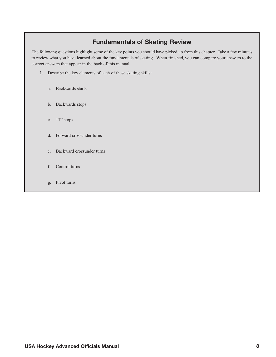## **Fundamentals of Skating Review**

The following questions highlight some of the key points you should have picked up from this chapter. Take a few minutes to review what you have learned about the fundamentals of skating. When finished, you can compare your answers to the correct answers that appear in the back of this manual.

- 1. Describe the key elements of each of these skating skills:
	- a. Backwards starts
	- b. Backwards stops
	- c. "T" stops
	- d. Forward crossunder turns
	- e. Backward crossunder turns
	- f. Control turns
	- g. Pivot turns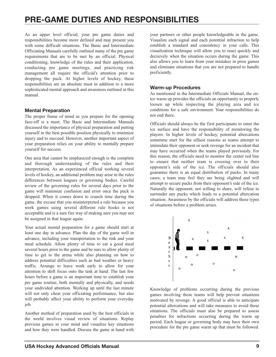# **PRE-GAME DUTIES AND RESPONSIBILITIES**

As an upper level official, your pre game duties and responsibilities become more defined and may present you with some difficult situations. The Basic and Intermediate Officiating Manuals carefully outlined many of the pre game requirements that are to be met by an official. Physical conditioning, knowledge of the rules and their application, conducting pre game meetings, and practicing risk management all require the official's attention prior to dropping the puck. At higher levels of hockey, these responsibilities are an absolute must in addition to a more sophisticated mental approach and awareness outlined in this manual.

## **Mental Preparation**

The proper frame of mind as you prepare for the opening face-off is a must. The Basic and Intermediate Manuals discussed the importance of physical preparation and putting yourself in the best possible position physically to minimize injury and to succeed. However, another important aspect of your preparation relies on your ability to mentally prepare yourself for success.

One area that cannot be emphasized enough is the complete and thorough understanding of the rules and their interpretation. As an experienced official working several levels of hockey, an additional problem may arise in the rules differences between leagues or governing bodies. Careful review of the governing rules for several days prior to the game will minimize confusion and error once the puck is dropped. When it comes down to crunch time during the game, the excuse that you misinterpreted a rule because you work games using several different rule books is not acceptable and is a sure fire way of making sure you may not be assigned in that league again.

Your actual mental preparation for a game should start at least one day in advance. Plan the day of the game well in advance, including your transportation to the rink and your meal schedule. Allow plenty of time to eat a good meal several hours prior to the game and be sure to allow plenty of time to get to the arena while also planning on how to address potential difficulties such as bad weather or heavy traffic. Arrange to leave work early to allow for your attention to shift focus onto the task at hand. The last few hours before a game is an important time to establish your pre game routine, both mentally and physically, and needs your undivided attention. Working up until the last minute will not only cheat your officiating performance, but also will probably affect your ability to perform your everyday job.

Another method of preparation used by the best officials in the world involves visual review of situations. Replay previous games in your mind and visualize key situations and how they were handled. Discuss the game at hand with

<span id="page-11-0"></span>your partners or other people knowledgeable in the game. Visualize each signal and each potential infraction to help establish a standard and consistency in your calls. This visualization technique will allow you to react quickly and decisively when the situation occurs during the game. This also allows you to learn from your mistakes in prior games and eliminate situations that you are not prepared to handle proficiently.

### **Warm-up Procedures**

As mentioned in the Intermediate Officials Manual, the onice warm up provides the officials an opportunity to properly loosen up while inspecting the playing area and ice conditions for a safe environment. Your responsibilities do not end there.

Officials should always be the first participants to enter the ice surface and have the responsibility of monitoring the players. In higher levels of hockey, potential altercations sometime start for the silliest reasons as teams attempt to intimidate their opponent or seek revenge for an incident that may have occurred when the teams played previously. For this reason, the officials need to monitor the center red line to ensure that neither team is crossing over to their opponent's side of the ice. The officials should also guarantee there is an equal distribution of pucks. In many cases, a team may feel they are being slighted and will attempt to secure pucks from their opponent's side of the ice. Naturally the opponent, not willing to share, will refuse to surrender any pucks which leads to a potential altercation situation. Awareness by the officials will address these types of situations before a problem arises.



Knowledge of problems occurring during the previous games involving these teams will help prevent situations motivated by revenge. A good official is able to anticipate potential altercations and will take measures to avoid these situations. The officials must also be prepared to assess penalties for infractions occurring during the warm up period. Each league or governing body may have their own procedure for the pre game warm up that must be followed.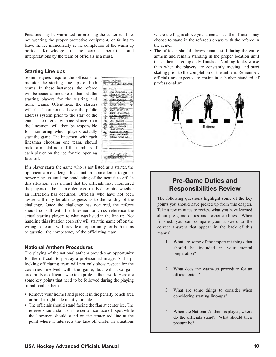Penalties may be warranted for crossing the center red line, not wearing the proper protective equipment, or failing to leave the ice immediately at the completion of the warm up period. Knowledge of the correct penalties and interpretations by the team of officials is a must.

DATE: 12/9/96<br>TEAM: Unil City Specials

THE HAGANISOR **BRIKE SCHAEFER T** 

TIM AND REWS GREG JANUSON IN CURTIS CHUCK HOUSE

GORDY PATE<br>HIKE HERTWEIE **HARK SCHANEDER** 

THE RUILLE **FRUL TENSON**<br>**GREG FALLON** 

**RECORD EVUILAS** 

**OOHU SCRELISOK!** 

NO. NAME

 $rac{6}{19}$ 

 $\mathcal{A}$ 

좋

 $20$ 

### **Starting Line ups**

Some leagues require the officials to monitor the starting line ups of both teams. In these instances, the referee will be issued a line up card that lists the starting players for the visiting and home teams. Oftentimes, the starters will also be announced over the public address system prior to the start of the game. The referee, with assistance from the linesmen, will then be responsible for monitoring which players actually start the game. The linesmen, with each linesman choosing one team, should make a mental note of the numbers of each player on the ice for the opening face-off.

If a player starts the game who is not listed as a starter, the opponent can challenge this situation in an attempt to gain a power play up until the conducting of the next face-off. In this situation, it is a must that the officials have monitored the players on the ice in order to correctly determine whether an infraction has occurred. Officials who have not been aware will only be able to guess as to the validity of the challenge. Once the challenge has occurred, the referee should consult with the linesmen to cross reference the actual starting players to what was listed in the line up. Not handling this situation correctly will start the game off on the wrong skate and will provide an opportunity for both teams to question the competency of the officiating team.

#### **National Anthem Procedures**

The playing of the national anthem provides an opportunity for the officials to portray a professional image. A sharplooking officiating team will not only show respect for the countries involved with the game, but will also gain credibility as officials who take pride in their work. Here are some key points that need to be followed during the playing of national anthems:

- Remove your helmet and place it in the penalty bench area or hold it right side up at your side.
- The officials should stand facing the flag at center ice. The referee should stand on the center ice face-off spot while the linesmen should stand on the center red line at the point where it intersects the face-off circle. In situations

where the flag is above you at center ice, the officials may choose to stand in the referee's crease with the referee in the center.

• The officials should always remain still during the entire anthem and remain standing in the proper location until the anthem is completely finished. Nothing looks worse than when the players are constantly moving and start skating prior to the completion of the anthem. Remember, officials are expected to maintain a higher standard of professionalism.



## **Pre-Game Duties and Responsibilities Review**

The following questions highlight some of the key points you should have picked up from this chapter. Take a few minutes to review what you have learned about pre-game duties and responsibilities. When finished, you can compare your answers to the correct answers that appear in the back of this manual.

- 1. What are some of the important things that should be included in your mental preparation?
- 2. What does the warm-up procedure for an official entail?
- 3. What are some things to consider when considering starting line-ups?
- 4. When the National Anthem is played, where do the officials stand? What should their posture be?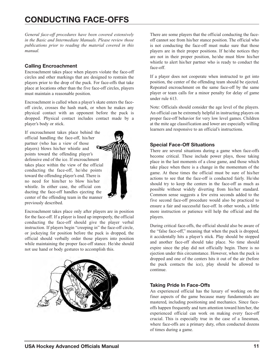*General face-off procedures have been covered extensively in the Basic and Intermediate Manuals. Please review those publications prior to reading the material covered in this manual.*

## **Calling Encroachment**

Encroachment takes place when players violate the face-off circles and other markings that are designed to restrain the players prior to the drop of the puck. For face-offs that take place at locations other than the five face-off circles, players must maintain a reasonable position.

Encroachment is called when a player's skate enters the faceoff circle, crosses the hash mark, or when he makes any physical contact with an opponent before the puck is dropped. Physical contact includes contact made by a player's body or stick.

If encroachment takes place behind the official handling the face-off, his/her partner (who has a view of those players) blows his/her whistle and points toward the offending player's defensive end of the ice. If encroachment takes place within the view of the official conducting the face-off, he/she points toward the offending player's end. There is no need for him/her to blow his/her whistle. In either case, the official con ducting the face-off handles ejecting the center of the offending team in the manner previously described.

Encroachment takes place only after players are in position for the face-off. If a player is lined up improperly, the official conducting the face-off should give the player verbal instruction. If players begin "creeping in" the face-off circle, or jockeying for position before the puck is dropped, the official should verbally order those players into position while maintaining the proper face-off stance. He/she should not use hand or body gestures to accomplish this.



<span id="page-13-0"></span>There are some players that the official conducting the faceoff cannot see from his/her stance position. The official who is not conducting the face-off must make sure that those players are in their proper positions. If he/she notices they are not in their proper position, he/she must blow his/her whistle to alert his/her partner who is ready to conduct the face-off.

If a player does not cooperate when instructed to get into position, the center of the offending team should be ejected. Repeated encroachment on the same face-off by the same player or team calls for a minor penalty for delay of game under rule 613.

Note: Officials should consider the age level of the players. An official can be extremely helpful in instructing players on proper face-off behavior for very low level games. Children at the mite age classification and lower are especially willing learners and responsive to an official's instructions.

## **Special Face-Off Situations**

There are several situations during a game when face-offs become critical. These include power plays, those taking place in the last moments of a close game, and those which take place when there is a change in the momentum of the game. At these times the official must be sure of his/her actions to see that the face-off is conducted fairly. He/she should try to keep the centers in the face-off as much as possible without widely diverting from his/her standard. Common sense suggests a few extra seconds added to the five second face-off procedure would also be practiced to ensure a fair and successful face-off. In other words, a little more instruction or patience will help the official and the players.

During critical face-offs, the official should also be aware of the "false face-off," meaning that when the puck is dropped, it accidentally hits a player's stick. Play should be stopped and another face-off should take place. No time should expire since the play did not officially begin. There is no ejection under this circumstance. However, when the puck is dropped and one of the centers hits it out of the air (before the puck contacts the ice), play should be allowed to continue.

## **Taking Pride In Face-Offs**

An experienced official has the luxury of working on the finer aspects of the game because many fundamentals are mastered, including positioning and mechanics. Since faceoffs happen frequently and turn attention toward him/her, the experienced official can work on making every face-off crucial. This is especially true in the case of a linesman, where face-offs are a primary duty, often conducted dozens of times during a game.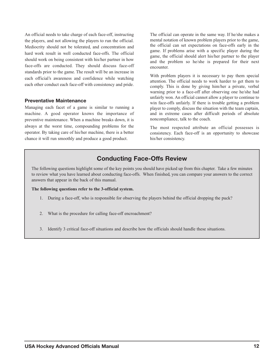An official needs to take charge of each face-off, instructing the players, and not allowing the players to run the official. Mediocrity should not be tolerated, and concentration and hard work result in well conducted face-offs. The official should work on being consistent with his/her partner in how face-offs are conducted. They should discuss face-off standards prior to the game. The result will be an increase in each official's awareness and confidence while watching each other conduct each face-off with consistency and pride.

#### **Preventative Maintenance**

Managing each facet of a game is similar to running a machine. A good operator knows the importance of preventive maintenance. When a machine breaks down, it is always at the worst time, compounding problems for the operator. By taking care of his/her machine, there is a better chance it will run smoothly and produce a good product.

The official can operate in the same way. If he/she makes a mental notation of known problem players prior to the game, the official can set expectations on face-offs early in the game. If problems arise with a specific player during the game, the official should alert his/her partner to the player and the problem so he/she is prepared for their next encounter.

With problem players it is necessary to pay them special attention. The official needs to work harder to get them to comply. This is done by giving him/her a private, verbal warning prior to a face-off after observing one he/she had unfairly won. An official cannot allow a player to continue to win face-offs unfairly. If there is trouble getting a problem player to comply, discuss the situation with the team captain, and in extreme cases after difficult periods of absolute noncompliance, talk to the coach.

The most respected attribute an official possesses is consistency. Each face-off is an opportunity to showcase his/her consistency.

## **Conducting Face-Offs Review**

The following questions highlight some of the key points you should have picked up from this chapter. Take a few minutes to review what you have learned about conducting face-offs. When finished, you can compare your answers to the correct answers that appear in the back of this manual.

**The following questions refer to the 3-official system.**

- 1. During a face-off, who is responsible for observing the players behind the official dropping the puck?
- 2. What is the procedure for calling face-off encroachment?
- 3. Identify 3 critical face-off situations and describe how the officials should handle these situations.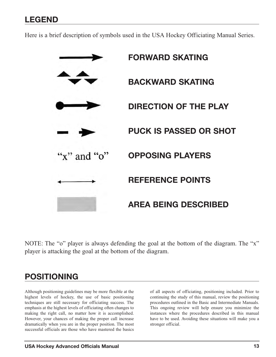## **LEGEND**

Here is a brief description of symbols used in the USA Hockey Officiating Manual Series.



NOTE: The "o" player is always defending the goal at the bottom of the diagram. The "x" player is attacking the goal at the bottom of the diagram.

## **POSITIONING**

Although positioning guidelines may be more flexible at the highest levels of hockey, the use of basic positioning techniques are still necessary for officiating success. The emphasis at the highest levels of officiating often changes to making the right call, no matter how it is accomplished. However, your chances of making the proper call increase dramatically when you are in the proper position. The most successful officials are those who have mastered the basics

<span id="page-15-1"></span><span id="page-15-0"></span>of all aspects of officiating, positioning included. Prior to continuing the study of this manual, review the positioning procedures outlined in the Basic and Intermediate Manuals. This ongoing review will help ensure you minimize the instances where the procedures described in this manual have to be used. Avoiding these situations will make you a stronger official.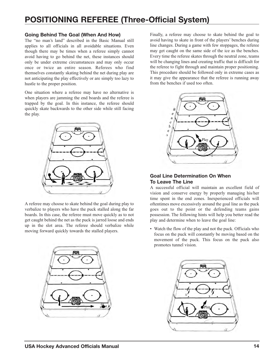# **POSITIONING REFEREE (Three-Official System)**

### **Going Behind The Goal (When And How)**

The "no man's land" described in the Basic Manual still applies to all officials in all avoidable situations. Even though there may be times when a referee simply cannot avoid having to go behind the net, these instances should only be under extreme circumstances and may only occur once or twice an entire season. Referees who find themselves constantly skating behind the net during play are not anticipating the play effectively or are simply too lazy to hustle to the proper position.

One situation where a referee may have no alternative is when players are jamming the end boards and the referee is trapped by the goal. In this instance, the referee should quickly skate backwards to the other side while still facing the play.



A referee may choose to skate behind the goal during play to verbalize to players who have the puck stalled along the far boards. In this case, the referee must move quickly as to not get caught behind the net as the puck is jarred loose and ends up in the slot area. The referee should verbalize while moving forward quickly towards the stalled players.



Finally, a referee may choose to skate behind the goal to avoid having to skate in front of the players' benches during line changes. During a game with few stoppages, the referee may get caught on the same side of the ice as the benches. Every time the referee skates through the neutral zone, teams will be changing lines and creating traffic that is difficult for the referee to fight through and maintain proper positioning. This procedure should be followed only in extreme cases as it may give the appearance that the referee is running away from the benches if used too often.

<span id="page-16-0"></span>

## **Goal Line Determination On When To Leave The Line**

A successful official will maintain an excellent field of vision and conserve energy by properly managing his/her time spent in the end zones. Inexperienced officials will oftentimes move excessively around the goal line as the puck goes out to the point or the defending teams gains possession. The following hints will help you better read the play and determine when to leave the goal line:

• Watch the flow of the play and not the puck. Officials who focus on the puck will constantly be moving based on the movement of the puck. This focus on the puck also promotes tunnel vision.

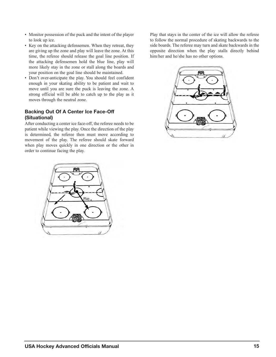- Monitor possession of the puck and the intent of the player to look up ice.
- Key on the attacking defensemen. When they retreat, they are giving up the zone and play will leave the zone. At this time, the referee should release the goal line position. If the attacking defensemen hold the blue line, play will more likely stay in the zone or stall along the boards and your position on the goal line should be maintained.
- Don't over-anticipate the play. You should feel confident enough in your skating ability to be patient and wait to move until you are sure the puck is leaving the zone. A strong official will be able to catch up to the play as it moves through the neutral zone.

## **Backing Out Of A Center Ice Face-Off (Situational)**

After conducting a center ice face-off, the referee needs to be patient while viewing the play. Once the direction of the play is determined, the referee then must move according to movement of the play. The referee should skate forward when play moves quickly in one direction or the other in order to continue facing the play.

Play that stays in the center of the ice will allow the referee to follow the normal procedure of skating backwards to the side boards. The referee may turn and skate backwards in the opposite direction when the play stalls directly behind him/her and he/she has no other options.



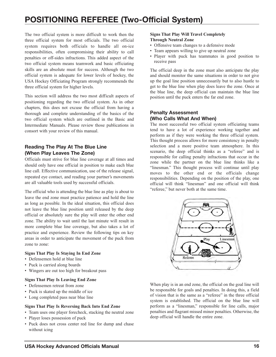# **POSITIONING REFEREE (Two-Official System)**

The two official system is more difficult to work then the three official system for most officials. The two official system requires both officials to handle all on-ice responsibilities, often compromising their ability to call penalties or off-sides infractions. This added aspect of the two official system means teamwork and basic officiating skills are an absolute must for success. Although the two official system is adequate for lower levels of hockey, the USA Hockey Officiating Program strongly recommends the three official system for higher levels.

This section will address the two most difficult aspects of positioning regarding the two official system. As in other chapters, this does not excuse the official from having a thorough and complete understanding of the basics of the two official system which are outlined in the Basic and Intermediate Manuals. Please review those publications in consort with your review of this manual.

## **Reading The Play At The Blue Line (When Play Leaves The Zone)**

Officials must strive for blue line coverage at all times and should only have one official in position to make each blue line call. Effective communication, use of the release signal, repeated eye contact, and reading your partner's movements are all valuable tools used by successful officials.

The official who is attending the blue line as play is about to leave the end zone must practice patience and hold the line as long as possible. In the ideal situation, this official does not leave the blue line position until released by the deep official or absolutely sure the play will enter the other end zone. The ability to wait until the last minute will result in more complete blue line coverage, but also takes a lot of practice and experience. Review the following tips on key areas in order to anticipate the movement of the puck from zone to zone:

#### **Signs That Play Is Staying In End Zone**

- Defensemen hold at blue line
- Puck is carried along boards
- Wingers are out too high for breakout pass

#### **Signs That Play Is Leaving End Zone**

- Defensemen retreat from zone
- Puck is skated up the middle of ice
- Long completed pass near blue line

#### **Signs That Play Is Reversing Back Into End Zone**

- Team uses one player forecheck, stacking the neutral zone
- Player loses possession of puck
- Puck does not cross center red line for dump and chase without icing

#### <span id="page-18-0"></span>**Signs That Play Will Travel Completely Through Neutral Zone**

- Offensive team changes to a defensive mode
- Team appears willing to give up neutral zone
- Player with puck has teammates in good position to receive pass

The official deep in the zone must also anticipate the play and should monitor the same situations in order to not give up the goal line position unnecessarily but to also hustle to get to the blue line when play does leave the zone. Once at the blue line, the deep official can maintain the blue line position until the puck enters the far end zone.

### **Penalty Assessment (Who Calls What And When)**

The most successful two official system officiating teams tend to have a lot of experience working together and perform as if they were working the three official system. This thought process allows for more consistency in penalty selection and a more positive team atmosphere. In this scenario, the deep official thinks as a "referee" and is responsible for calling penalty infractions that occur in the zone while the partner on the blue line thinks like a "linesman." This thought process will continue until play moves to the other end or the officials change responsibilities. Depending on the position of the play, one official will think "linesman" and one official will think "referee," but never both at the same time.



When play is in an end zone, the official on the goal line will be responsible for goals and penalties. In doing this, a field of vision that is the same as a "referee" in the three official system is established. The official on the blue line will perform as a "linesman," responsible for line calls, major penalties and flagrant missed minor penalties. Otherwise, the deep official will handle the entire zone.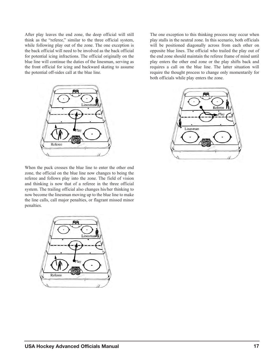After play leaves the end zone, the deep official will still think as the "referee," similar to the three official system, while following play out of the zone. The one exception is the back official will need to be involved as the back official for potential icing infractions. The official originally on the blue line will continue the duties of the linesman, serving as the front official for icing and backward skating to assume the potential off-sides call at the blue line.



When the puck crosses the blue line to enter the other end zone, the official on the blue line now changes to being the referee and follows play into the zone. The field of vision and thinking is now that of a referee in the three official system. The trailing official also changes his/her thinking to now become the linesman moving up to the blue line to make the line calls, call major penalties, or flagrant missed minor penalties.



The one exception to this thinking process may occur when play stalls in the neutral zone. In this scenario, both officials will be positioned diagonally across from each other on opposite blue lines. The official who trailed the play out of the end zone should maintain the referee frame of mind until play enters the other end zone or the play shifts back and requires a call on the blue line. The latter situation will require the thought process to change only momentarily for both officials while play enters the zone.

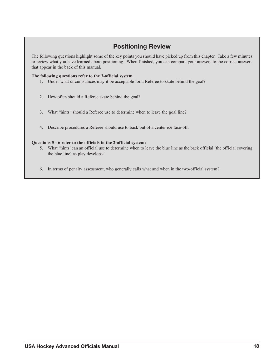## **Positioning Review**

The following questions highlight some of the key points you should have picked up from this chapter. Take a few minutes to review what you have learned about positioning. When finished, you can compare your answers to the correct answers that appear in the back of this manual.

#### **The following questions refer to the 3-official system.**

- 1. Under what circumstances may it be acceptable for a Referee to skate behind the goal?
- 2. How often should a Referee skate behind the goal?
- 3. What "hints" should a Referee use to determine when to leave the goal line?
- 4. Describe procedures a Referee should use to back out of a center ice face-off.

#### **Questions 5 - 6 refer to the officials in the 2-official system:**

- 5. What "hints' can an official use to determine when to leave the blue line as the back official (the official covering the blue line) as play develops?
- 6. In terms of penalty assessment, who generally calls what and when in the two-official system?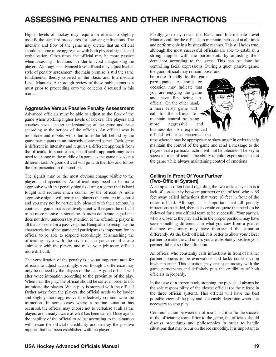# **ASSESSING PENALTIES AND OTHER INFRACTIONS**

Higher levels of hockey may require an official to slightly modify the standard procedures for assessing infractions. The intensity and flow of the game may dictate that an official should become more aggressive with both physical signals and verbalization. Other times the official may be more passive when assessing infractions in order to avoid antagonizing the players. Although an advanced level official may adjust his/her style of penalty assessment, the main premise is still the same fundamental theory covered in the Basic and Intermediate Level Manuals. A thorough review of those publications is a must prior to proceeding onto the concepts discussed in this manual.

#### **Aggressive Versus Passive Penalty Assessment**

Advanced officials must be able to adjust to the flow of the game when working higher levels of hockey. The players and coaches have a better understanding of the game and react according to the actions of the officials. An official who is monotone and robotic will often times be left behind by the game participants in an intensely contested game. Each game is different in intensity and requires a different approach from the officials. In some cases, an official's approach may even need to change in the middle of a game as the game takes on a different look. A good official will go with the flow and follow the tips presented in this section.

The signals may be the most obvious change visible to the players and spectators. An official may need to be more aggressive with the penalty signals during a game that is hard fought and requires much control by the official. A more aggressive signal will notify the players that you are in control and you may not be particularly pleased with their actions. In contrast, a game that is relatively quiet will require the official to be more passive in signaling. A more deliberate signal that does not draw unnecessary attention to the offending player is all that is needed in a passive game. Being able to recognize the characteristics of the game and participants is important for an official to be able to respond accordingly. Mismatching the officiating style with the style of the game could create animosity with the players and make your job as an official more difficult.

The verbalization of the penalty is also an important area for officials to adjust accordingly, even though a difference may only be noticed by the players on the ice. A good official will alter voice intonation according to the proximity of the play. When near the play, the official should be softer in order to not intimidate the players. When play is stopped with the official farther away from the players, the official needs to be louder and slightly more aggressive to effectively communicate the infraction. In some cases where a routine situation has occurred, the official may choose not to verbalize at all as the players are already aware of what has been called. Once again, the inability of the official to adjust according to the situation will lessen the official's credibility and destroy the positive rapport that had been established with the players.

<span id="page-21-0"></span>Finally, you may recall the Basic and Intermediate Level Manuals call for the officials to maintain their cool at all times and perform only in a businesslike manner. This still holds true, although the most successful officials are able to establish a strong rapport with the participants by adjusting their demeanor according to the game. This can be done by controlling facial expressions. During a quiet, passive game, the good official may remain looser and

be more friendly to the game participants. A smile on occasion may indicate that you are enjoying the game and have fun being an official. On the other hand, a more feisty game will call for the official to maintain control by being more aggressive and businesslike. An experienced official will also recognize the

time where it may be appropriate to show anger in order to help maintain the control of the game and send a message to the players that a particular action will not be tolerated. The key to success for an official is the ability to tailor expressions to suit the game while always maintaining control of emotions

## **Calling In Front Of Your Partner (Two-Official System)**

A complaint often heard regarding the two official system is a lack of consistency between partners or the official who is 65 feet away called infractions that were 10 feet in front of the other official. Although it is important that all penalty infractions be called, there is a certain etiquette that needs to be followed for a two official team to be successful. Your partner, who is closer to the play and is in the proper position, may have seen something different than what you saw from a greater distance or simply may have interpreted the situation differently. As the back official, it is better to allow your closer partner to make the call unless you are absolutely positive your partner did not see the infraction.

An official who constantly calls infractions in front of his/her partner appears to be overzealous and lacks confidence in his/her partner. This situation may create animosity with the game participants and definitely puts the credibility of both officials in jeopardy.

In the case of a frozen puck, stopping the play shall always be the sole responsibility of the closest official (or the referee in the three official system). This official will have the best possible view of the play and can easily determine when it is necessary to stop play.

Communication between the officials is critical to the success of the officiating team. Prior to the game, the officials should discuss procedures and philosophies in order to handle situations that may occur on the ice smoothly. It is important to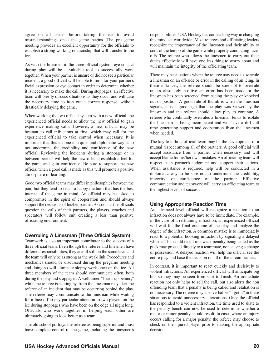agree on all issues before taking the ice to avoid misunderstandings once the game begins. The pre game meeting provides an excellent opportunity for the officials to establish a strong working relationship that will transfer to the ice.

As with the linesmen in the three official system, eye contact during play will be a valuable tool to successfully work together. When your partner is unsure or did not see a particular incident, a good official will be able to monitor your partner's facial expression or eye contact in order to determine whether it is necessary to make the call. During stoppages, an effective team will briefly discuss situations as they occur and will take the necessary time to iron out a correct response, without drastically delaying the game.

When working the two official system with a new official, the experienced official needs to allow the new official to gain experience making calls. However, a new official may be hesitant to call infractions at first, which may call for the experienced official to take control when necessary. It is important that this is done in a quiet and diplomatic way as to not undermine the credibility and confidence of the new official. Reviewing the incidents during a stoppage or in between periods will help the new official establish a feel for the game and gain confidence. Be sure to support the new official when a good call is made as this will promote a positive atmosphere of learning.

Good two official teams may differ in philosophies between the pair, but they tend to reach a happy medium that has the best interest of the game in mind. An official may be asked to compromise in the spirit of cooperation and should always support the decisions of his/her partner. As soon as the officials question the calls of their partners, the players, coaches and spectators will follow suit creating a less than positive officiating environment.

## **Overruling A Linesman (Three Official System)**

Teamwork is also an important contributor to the success of a three official team. Even though the referee and linesmen have different responsibilities, they are all still on the same level and the team will only be as strong as the weak link. Procedures and mechanics should be discussed during the pregame meeting and doing so will eliminate sloppy work once on the ice. All three members of the team should communicate often, both during the play and stoppages. A well timed "heads up behind," while the referee is skating by, from the linesman may alert the referee of an incident that may be occurring behind the play. The referee may communicate to the linesman while waiting for a face-off to pay particular attention to two players on the ice during stoppages who have been on the edge all night long. Officials who work together in helping each other are ultimately going to look better as a team.

The old school portrays the referee as being superior and must have complete control of the game, including the linesmen's

responsibilities. USA Hockey has come a long way in changing this mind set worldwide. Most referees and officiating leaders recognize the importance of the linesmen and their ability to control the tempo of the game while properly conducting faceoffs. The referee who allows the linesmen to carry out their duties effectively will have one less thing to worry about and will maintain the integrity of the officiating team.

There may be situations where the referee may need to overrule a linesman on an off-side or error in the calling of an icing. In these instances, the referee should be sure not to overrule unless absolutely positive an error has been made or the linesman has been screened from seeing the play or knocked out of position. A good rule of thumb is when the linesman signals, it is a good sign that the play was viewed by the linesman and the referee should allow play to continue. A referee who continually overrules a linesman tends to isolate the linesman as being incompetent and will have a difficult time generating support and cooperation from the linesmen when needed.

The key to a three official team may be the development of a mutual respect among all of the partners. A good official will accept assistance from a partner when necessary, and will accept blame for his/her own mistakes. An officiating team will respect each partner's judgment and support their actions. When assistance is required, help will be conducted in a diplomatic way to be sure not to undermine the credibility, integrity, or confidence of the partner. Effective communication and teamwork will carry an officiating team to the highest levels of success.

## **Using Appropriate Reaction Time**

An advanced level official will recognize a reaction to an infraction does not always have to be immediate. For example, in the case of a restraining infraction, an experienced official will wait for the final outcome of the play and analyze the degree of the infraction. A common mistake is to immediately react to a potential hooking infraction by signaling a delayed whistle. This could result in a weak penalty being called as the puck may proceed directly to a teammate, not causing a change of possession. A delayed reaction will help the official see the entire play and base the decision on all of the circumstances.

In contrast, it is important to react quickly and decisively to violent infractions. An experienced official will anticipate big hits so they may be seen from start to finish. An immediate reaction not only helps to sell the call, but also alerts the non offending team that a penalty is being called and retaliation is not necessary. The referee may also verbalize "I got it" in these situations to avoid unnecessary altercations. Once the official has responded to a violent infraction, the time used to skate to the penalty bench can now be used to determine whether a major or minor penalty should result. In cases where an injury occurs calling for a major penalty, the referee may choose to check on the injured player prior to making the appropriate decision.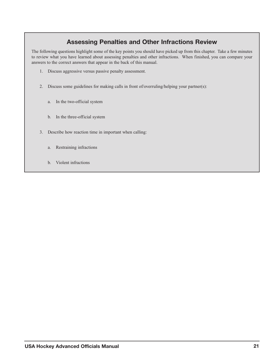## **Assessing Penalties and Other Infractions Review**

The following questions highlight some of the key points you should have picked up from this chapter. Take a few minutes to review what you have learned about assessing penalties and other infractions. When finished, you can compare your answers to the correct answers that appear in the back of this manual.

- 1. Discuss aggressive versus passive penalty assessment.
- 2. Discuss some guidelines for making calls in front of/overruling/helping your partner(s):
	- a. In the two-official system
	- b. In the three-official system
- 3. Describe how reaction time in important when calling:
	- a. Restraining infractions
	- b. Violent infractions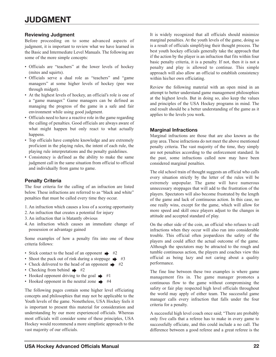## **Reviewing Judgment**

Before proceeding on to some advanced aspects of judgment, it is important to review what we have learned in the Basic and Intermediate Level Manuals. The following are some of the more simple concepts:

- Officials are "teachers" at the lower levels of hockey (mites and squirts).
- Officials serve a dual role as "teachers" and "game managers" at some higher levels of hockey (pee wee through midget).
- At the highest levels of hockey, an official's role is one of a "game manager." Game managers can be defined as managing the progress of the game in a safe and fair environment while using good judgment.
- Officials need to have a reactive role in the game regarding the calling of penalties. Good officials are always aware of what might happen but only react to what actually happens.
- Top officials have complete knowledge and are extremely proficient in the playing rules, the intent of each rule, the playing rule interpretations and the penalty guidelines.
- Consistency is defined as the ability to make the same judgment call in the same situation from official to official and individually from game to game.

### **Penalty Criteria**

The four criteria for the calling of an infraction are listed below. These infractions are referred to as "black and white" penalties that must be called every time they occur.

- 1. An infraction which causes a loss of a scoring opportunity
- 2. An infraction that creates a potential for injury
- 3. An infraction that is blatantly obvious
- 4. An infraction which causes an immediate change of possession or advantage gained

Some examples of how a penalty fits into one of these criteria follows:

- Stick contact to the head of an opponent  $\Rightarrow$  #2
- Shoot the puck out of rink during a stoppage  $\Rightarrow$  #3
- Check delivered to the head of an opponent  $\rightarrow$  #2
- Checking from behind  $\Rightarrow$  #2
- Hooked opponent driving to the goal  $\rightarrow$  #1
- Hooked opponent in the neutral zone  $\rightarrow$  #4

The following pages contain some higher level officiating concepts and philosophies that may not be applicable to the Youth levels of the game. Nonetheless, USA Hockey feels it is important to present this material for consideration and understanding by our more experienced officials. Whereas most officials will consider some of these principles, USA Hockey would recommend a more simplistic approach to the vast majority of our officials.

<span id="page-24-0"></span>It is widely recognized that all officials should minimize marginal penalties. At the youth levels of the game, doing so is a result of officials simplifying their thought process. The best youth hockey officials generally take the approach that if the action by the player is an infraction that fits within four basic penalty criteria, it is a penalty. If not, then it is not a penalty and play is allowed to continue. This simple approach will also allow an official to establish consistency within his/her own officiating.

Review the following material with an open mind in an attempt to better understand game management philosophies at the highest levels. But in doing so, also keep the values and principles of the USA Hockey programs in mind. The end result should be a better understanding of the game as it applies to the levels you work.

#### **Marginal Infractions**

Marginal infractions are those that are also known as the gray area. These infractions do not meet the above mentioned penalty criteria. The vast majority of the time, they simply are not penalties according to the enforcement standard. In the past, some infractions called now may have been considered marginal penalties.

The old school train of thought suggests an official who calls every situation strictly by the letter of the rules will be extremely unpopular. The game will have numerous unnecessary stoppages that will add to the frustration of the players. Spectators will also become frustrated by the length of the game and lack of continuous action. In this case, no one really wins, except for the game, which will allow for more speed and skill once players adjust to the changes in attitude and accepted standard of play.

On the other side of the coin, an official who refuses to call infractions when they occur will also run into considerable trouble. This official often jeopardizes the safety of the players and could affect the actual outcome of the game. Although the spectators may be attracted to the rough and tumble continuous action, the players and coaches view this official as being lazy and not caring about a quality performance.

The fine line between these two examples is where game management fits in. The game manager promotes a continuous flow to the game without compromising the safety or fair play respected high level officials throughout the world may apply of either team. The successful game manager calls every infraction that falls under the four criteria for a penalty.

A successful high level coach once said; "There are probably only five calls that a referee has to make in every game to successfully officiate, and this could include a no call. The difference between a good referee and a great referee is the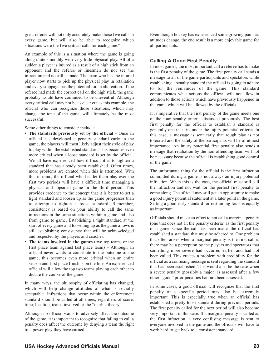great referee will not only accurately make those five calls in every game, but will also be able to recognize which situations were the five critical calls for each game."

An example of this is a situation where the game is going along quite smoothly with very little physical play. All of a sudden a player is injured as a result of a high stick from an opponent and the referee or linesmen do not see the infraction and no call is made. The team who has the injured player now starts to pick up the physical play in retaliation and every stoppage has the potential for an altercation. If the referee had made the correct call on the high stick, the game probably would have continued to be uneventful. Although every critical call may not be as clear cut as this example, the official who can recognize those situations, which may change the tone of the game, will ultimately be the most successful.

Some other things to consider include:

- **The standards previously set by the official** Once an official has developed a penalty standard early in the game, the players will most likely adjust their style of play to play within the established standard. This becomes even more critical when a loose standard is set by the official. We all have experienced how difficult it is to tighten a standard that has already been established. Often times, more problems are created when this is attempted. With this in mind, the official who has let them play over the first two periods will have a difficult time managing a physical and lopsided game in the third period. This provides credence to the concept that it is better to set a tight standard and loosen up as the game progresses than to attempt to tighten a loose standard. Remember, consistency is based on your ability to call the same infractions in the same situations within a game and also from game to game. Establishing a tight standard at the start of every game and loosening up as the game allows is still establishing consistency that will be acknowledged and respected by the players and coaches.
- **The teams involved in the games** (two top teams or the first place team against last place team) – Although an official never wants to contribute to the outcome of the game, this becomes even more critical when an entire season and first place finish is on the line. An experienced official will allow the top two teams playing each other to dictate the course of the game.

In many ways, the philosophy of officiating has changed, which will help change attitudes of what is socially acceptable. Infractions that occur within the enforcement standard should be called at all times, regardless of score, time, location, teams involved or the "marble theory".

Although no official wants to adversely affect the outcome of the game, it is important to recognize that failing to call a penalty does affect the outcome by denying a team the right to a power play they have earned.

Even though hockey has experienced some growing pains as attitudes change, the end result is a more enjoyable game for all participants.

## **Calling A Good First Penalty**

In most games, the most important call a referee has to make is the first penalty of the game. The first penalty call sends a message to all of the game participants and spectators while establishing a penalty standard the official is going to adhere to for the remainder of the game. This standard communicates what actions the official will not allow in addition to those actions which have previously happened in the game which will be allowed by the officials.

It is imperative that the first penalty of the game meets one of the four penalty criteria discussed previously. The best first penalty for the official to establish a standard is generally one that fits under the injury potential criteria. In this case, a message is sent early that rough play is not tolerated and the safety of the participants will be of utmost importance. An injury potential first penalty also sends a message that retaliation by the non offending team will not be necessary because the official is establishing good control of the game.

The unfortunate thing for the official is the first infraction committed during a game is not always an injury potential infraction. When this is the case, the official must still call the infraction and not wait for the perfect first penalty to come along. The official may still get an opportunity to make a good injury potential statement at a later point in the game. Setting a good early standard for restraining fouls is equally as important.

Officials should make an effort to not call a marginal penalty (one that does not fit the penalty criteria) as the first penalty of a game. Once the call has been made, the official has established a standard that must be adhered to. One problem that often arises when a marginal penalty is the first call is there may be a perception by the players and spectators that something more severe had occurred earlier and had not been called. This creates a problem with credibility for the official as a confusing message is sent regarding the standard that has been established. This would also be the case when a severe penalty (possibly a major) is assessed after a few other "good" prior penalties had not been assessed.

In some cases, a good official will recognize that the first penalty of a specific period may also be extremely important. This is especially true when an official has established a pretty loose standard during previous periods. The first penalty called for the next period will also become very important in this case. If a marginal penalty is called as the first infraction, a very confusing message is sent to everyone involved in the game and the officials will have to work hard to get back to a consistent standard.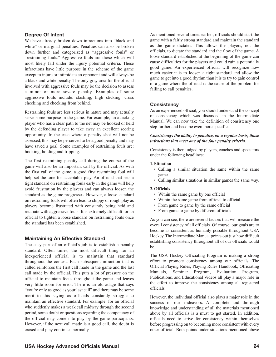## **Degree Of Intent**

We have already broken down infractions into "black and white" or marginal penalties. Penalties can also be broken down further and categorized as "aggressive fouls" or "restraining fouls." Aggressive fouls are those which will most likely fall under the injury potential criteria. These infractions have little purpose in the scheme of the game except to injure or intimidate an opponent and will always be a black and white penalty. The only gray area for the official involved with aggressive fouls may be the decision to assess a minor or more severe penalty. Examples of some aggressive fouls include: slashing, high sticking, cross checking and checking from behind.

Restraining fouls are less serious in nature and may actually serve some purpose in the game. For example, an attacking player who has a clear path to the net may be hooked or held by the defending player to take away an excellent scoring opportunity. In the case where a penalty shot will not be assessed, this may be perceived to be a good penalty and may have saved a goal. Some examples of restraining fouls are: hooking, holding and tripping.

The first restraining penalty call during the course of the game will also be an important call by the official. As with the first call of the game, a good first restraining foul will help set the tone for acceptable play. An official that sets a tight standard on restraining fouls early in the game will help avoid frustration by the players and can always loosen the standard as the game progresses. However, a loose standard on restraining fouls will often lead to chippy or rough play as players become frustrated with constantly being held and retaliate with aggressive fouls. It is extremely difficult for an official to tighten a loose standard on restraining fouls once the standard has been established.

#### **Maintaining An Effective Standard**

The easy part of an official's job is to establish a penalty standard. Often times, the most difficult thing for an inexperienced official is to maintain that standard throughout the contest. Each subsequent infraction that is called reinforces the first call made in the game and the last call made by the official. This puts a lot of pressure on the official to maintain focus throughout the game and leaves very little room for error. There is an old adage that says "you're only as good as your last call" and there may be some merit to this saying as officials constantly struggle to maintain an effective standard. For example, for an official who suddenly makes a weak call midway through the second period, some doubt or questions regarding the competency of the official may come into play by the game participants. However, if the next call made is a good call, the doubt is erased and play continues normally.

As mentioned several times earlier, officials should start the game with a fairly strong standard and maintain the standard as the game dictates. This allows the players, not the officials, to dictate the standard and the flow of the game. A loose standard established at the beginning of the game can cause difficulties for the players and could ruin a potentially good game. An experienced official will recognize how much easier it is to loosen a tight standard and allow the game to get into a good rhythm than it is to try to gain control of a game where the official is the cause of the problem for failing to call penalties.

#### **Consistency**

As an experienced official, you should understand the concept of consistency which was discussed in the Intermediate Manual. We can now take the definition of consistency one step further and become even more specific.

#### *Consistency: the ability to penalize, on a regular basis, those infractions that meet one of the four penalty criteria.*

Consistency is then judged by players, coaches and spectators under the following headlines:

#### **1. Situation**

- Calling a similar situation the same within the same game.
- Calling similar situations in similar games the same way.

#### **2. Officials**

- Within the same game by one official
- Within the same game from official to official
- From game to game by the same official
- From game to game by different officials

As you can see, there are several factors that will measure the overall consistency of all officials. Of course, our goals are to become as consistent as humanly possible throughout USA Hockey. The Intermediate Manual points out just how difficult establishing consistency throughout all of our officials would be.

The USA Hockey Officiating Program is making a strong effort to promote consistency among our officials. The Official Playing Rules, Playing Rules Handbook, Officiating Manuals, Seminar Program, Evaluation Program, Publications, and Educational Videos all play a major role in the effort to improve the consistency among all registered officials.

However, the individual official also plays a major role in the success of our endeavors. A complete and thorough knowledge and understanding of all the materials mentioned above by all officials is a must to get started. In addition, officials need to strive for consistency within themselves before progressing on to becoming more consistent with every other official. Both points under situations mentioned above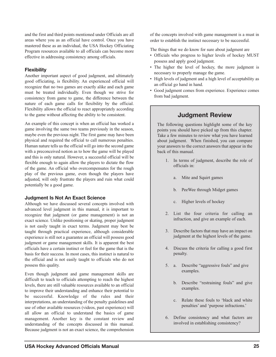and the first and third points mentioned under Officials are all areas where you as an official have control. Once you have mastered these as an individual, the USA Hockey Officiating Program resources available to all officials can become more effective in addressing consistency among officials.

## **Flexibility**

Another important aspect of good judgment, and ultimately good officiating, is flexibility. An experienced official will recognize that no two games are exactly alike and each game must be treated individually. Even though we strive for consistency from game to game, the difference between the nature of each game calls for flexibility by the official. Flexibility allows the official to react appropriately according to the game without affecting the ability to be consistent.

An example of this concept is when an official has worked a game involving the same two teams previously in the season, maybe even the previous night. The first game may have been physical and required the official to call numerous penalties. Human nature tells us the official will go into the second game with a preconceived notion as to how the game will be played and this is only natural. However, a successful official will be flexible enough to again allow the players to dictate the flow of the game. An official who overcompensates for the rough play of the previous game, even though the players have adjusted, will only frustrate the players and ruin what could potentially be a good game.

#### **Judgment Is Not An Exact Science**

Although we have discussed several concepts involved with advanced level judgment in this manual, it is important to recognize that judgment (or game management) is not an exact science. Unlike positioning or skating, proper judgment is not easily taught in exact terms. Judgment may best be taught through practical experience, although considerable experience is still not a guarantee an official will possess good judgment or game management skills. It is apparent the best officials have a certain instinct or feel for the game that is the basis for their success. In most cases, this instinct is natural to the official and is not easily taught to officials who do not possess this quality.

Even though judgment and game management skills are difficult to teach to officials attempting to reach the highest levels, there are still valuable resources available to an official to improve their understanding and enhance their potential to be successful. Knowledge of the rules and their interpretations, an understanding of the penalty guidelines and use of other available resources (videos, past experience) will all allow an official to understand the basics of game management. Another key is the constant review and understanding of the concepts discussed in this manual. Because judgment is not an exact science, the comprehension

of the concepts involved with game management is a must in order to establish the instinct necessary to be successful.

The things that we do know for sure about judgment are

- Officials who progress to higher levels of hockey MUST possess and apply good judgment.
- The higher the level of hockey, the more judgment is necessary to properly manage the game.
- High levels of judgment and a high level of acceptability as an official go hand in hand.
- Good judgment comes from experience. Experience comes from bad judgment.

## **Judgment Review**

The following questions highlight some of the key points you should have picked up from this chapter. Take a few minutes to review what you have learned about judgment. When finished, you can compare your answers to the correct answers that appear in the back of this manual.

- 1. In terms of judgment, describe the role of officials in:
	- a. Mite and Squirt games
	- b. PeeWee through Midget games
	- c. Higher levels of hockey
- 2. List the four criteria for calling an infraction, and give an example of each.
- 3. Describe factors that may have an impact on judgment at the highest levels of the game.
- 4. Discuss the criteria for calling a good first penalty.
- 5. a. Describe "aggressive fouls" and give examples.
	- b. Describe "restraining fouls" and give examples.
	- c. Relate these fouls to 'black and white penalties' and 'purpose infractions.'
- 6. Define consistency and what factors are involved in establishing consistency?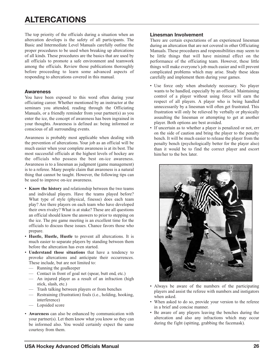# **ALTERCATIONS**

The top priority of the officials during a situation when an altercation develops is the safety of all participants. The Basic and Intermediate Level Manuals carefully outline the proper procedures to be used when breaking up altercations of all kinds. These procedures are the basics that are used by all officials to promote a safe environment and teamwork among the officials. Review those publications thoroughly before proceeding to learn some advanced aspects of responding to altercations covered in this manual.

#### **Awareness**

You have been exposed to this word often during your officiating career. Whether mentioned by an instructor at the seminars you attended, reading through the Officiating Manuals, or a friendly reminder from your partner(s) as you enter the ice, the concept of awareness has been ingrained in your thoughts. Awareness is defined as: being informed or conscious of all surrounding events.

Awareness is probably most applicable when dealing with the prevention of altercations. Your job as an official will be much easier when your complete awareness is at its best. The most successful officials at the highest levels of hockey are the officials who possess the best on-ice awareness. Awareness is to a linesman as judgment (game management) is to a referee. Many people claim that awareness is a natural thing that cannot be taught. However, the following tips can be used to improve on-ice awareness.

- **Know the history** and relationship between the two teams and individual players. Have the teams played before? What type of style (physical, finesse) does each team play? Are there players on each team who have developed their own rivalry? What is at stake? These are all questions an official should know the answers to prior to stepping on the ice. The pre game meeting is an excellent time for the officials to discuss these issues. Chance favors those who prepare.
- **Hustle, Hustle, Hustle** to prevent all altercations. It is much easier to separate players by standing between them before the altercation has even started.
- **Understand those situations** that have a tendency to provoke altercations and anticipate their occurrences. These include, but are not limited to:
	- Running the goalkeeper
	- Contact in front of goal net (spear, butt end, etc.)
	- An injured player as a result of an infraction (high stick, slash, etc.)
	- Trash talking between players or from benches
	- Restraining (frustration) fouls (i.e., holding, hooking, interference)
	- Lopsided score
- **Awareness** can also be enhanced by communication with your partner(s). Let them know what you know so they can be informed also. You would certainly expect the same courtesy from them.

#### <span id="page-28-0"></span>**Linesman Involvement**

There are certain expectations of an experienced linesman during an altercation that are not covered in other Officiating Manuals. These procedures and responsibilities may seem to be little things that will have minimal effect on the performance of the officiating team. However, these little things will make everyone's job much easier and will prevent complicated problems which may arise. Study these ideas carefully and implement them during your games.

- Use force only when absolutely necessary. No player wants to be handled, especially by an official. Maintaining control of a player without using force will earn the respect of all players. A player who is being handled unnecessarily by a linesman will often get frustrated. This frustration will only be relieved by verbally or physically assaulting the linesman or attempting to get at another player. Both options are best avoided.
- If uncertain as to whether a player is penalized or not, err on the side of caution and bring the player to the penalty bench. It will be much easier to release the player from the penalty bench (psychologically better for the player also) than it would be to find the correct player and escort him/her to the box later.



- Always be aware of the numbers of the participating players and assist the referee with numbers and instigators when asked.
- When asked to do so, provide your version to the referee in a brief and concise manner.
- Be aware of any players leaving the benches during the altercation and also any infractions which may occur during the fight (spitting, grabbing the facemask).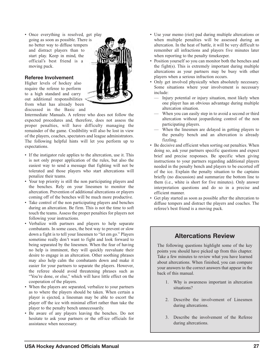• Once everything is resolved, get play going as soon as possible. There is no better way to diffuse tempers and distract players than to start play. Keep in mind, the official's best friend is a moving puck.

### **Referee Involvement**

Higher levels of hockey also require the referee to perform to a high standard and carry out additional responsibilities from what has already been discussed in the Basic and



Intermediate Manuals. A referee who does not follow the expected procedures and, therefore, does not assess the proper penalties, will have difficulty managing the remainder of the game. Credibility will also be lost in view of the players, coaches, spectators and league administrators. The following helpful hints will let you perform up to expectations.

- If the instigator rule applies to the altercation, use it. This is not only proper application of the rules, but also the easiest way to send a message that fighting will not be tolerated and those players who start altercations will penalize their teams.
- Your top priority is still the non participating players and the benches. Rely on your linesmen to monitor the altercation. Prevention of additional altercations or players coming off of the benches will be much more productive.
- Take control of the non participating players and benches during an altercation. Be firm. This is not the time to soft touch the teams. Assess the proper penalties for players not following your instructions.
- Verbalize with partners and players to help separate combatants. In some cases, the best way to prevent or slow down a fight is to tell your linesmen to "let em go." Players sometime really don't want to fight and look forward to being separated by the linesmen. When the fear of having no help is imminent, they will quickly reevaluate their desire to engage in an altercation. Other soothing phrases may also help calm the combatants down and make it easier for your partners to separate the players. However, the referee should avoid threatening phrases such as "You're done, or else," which will have little effect on the cooperation of the players.
- When the players are separated, verbalize to your partners as to where the players should be taken. When certain a player is ejected, a linesman may be able to escort the player off the ice with minimal effort rather than take the player to the penalty bench unnecessarily.
- Be aware of any players leaving the benches. Do not hesitate to ask your partners or the off-ice officials for assistance when necessary.
- Use your memo (riot) pad during multiple altercations or when multiple penalties will be assessed during an altercation. In the heat of battle, it will be very difficult to remember all infractions and players five minutes later when reporting to the penalty timekeeper.
- Position yourself so you can monitor both the benches and the fight(s). This is extremely important during multiple altercations as your partners may be busy with other players when a serious infraction occurs.
- Only get involved physically when absolutely necessary. Some situations where your involvement is necessary include:
	- Injury potential or injury situation, most likely when one player has an obvious advantage during multiple altercation situation.
	- When you can easily step in to avoid a second or third altercation without jeopardizing control of the non participating players.
	- When the linesmen are delayed in getting players to the penalty bench and an altercation is already fizzling.
- Be decisive and efficient when sorting out penalties. When doing so, ask your partners specific questions and expect brief and precise responses. Be specific when giving instructions to your partners regarding additional players needed in the penalty bench and players to be escorted off of the ice. Explain the penalty situation to the captains briefly (no discussion) and summarize the bottom line to them (i.e., white is short for five minutes). Only answer interpretation questions and do so in a precise and efficient manner.
- Get play started as soon as possible after the altercation to diffuse tempers and distract the players and coaches. The referee's best friend is a moving puck.

## **Altercations Review**

The following questions highlight some of the key points you should have picked up from this chapter. Take a few minutes to review what you have learned about altercations. When finished, you can compare your answers to the correct answers that appear in the back of this manual.

- 1. Why is awareness important in altercation situations?
- 2. Describe the involvement of Linesmen during altercations.
- 3. Describe the involvement of the Referee during altercations.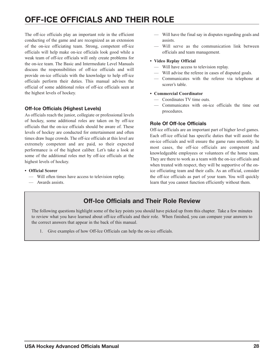# **OFF-ICE OFFICIALS AND THEIR ROLE**

The off-ice officials play an important role in the efficient conducting of the game and are recognized as an extension of the on-ice officiating team. Strong, competent off-ice officials will help make on-ice officials look good while a weak team of off-ice officials will only create problems for the on-ice team. The Basic and Intermediate Level Manuals discuss the responsibilities of off-ice officials and will provide on-ice officials with the knowledge to help off-ice officials perform their duties. This manual advises the official of some additional roles of off-ice officials seen at the highest levels of hockey.

## **Off-Ice Officials (Highest Levels)**

As officials reach the junior, collegiate or professional levels of hockey, some additional roles are taken on by off-ice officials that the on-ice officials should be aware of. These levels of hockey are conducted for entertainment and often times draw huge crowds. The off-ice officials at this level are extremely competent and are paid, so their expected performance is of the highest caliber. Let's take a look at some of the additional roles met by off-ice officials at the highest levels of hockey.

- **Official Scorer**
	- Will often times have access to television replay.
	- Awards assists.
- <span id="page-30-0"></span>— Will have the final say in disputes regarding goals and assists.
- Will serve as the communication link between officials and team management.
- **Video Replay Official**
	- Will have access to television replay.
	- Will advise the referee in cases of disputed goals.
	- Communicates with the referee via telephone at scorer's table.
- **Commercial Coordinator**
	- Coordinates TV time outs.
	- Communicates with on-ice officials the time out procedures.

## **Role Of Off-Ice Officials**

Off-ice officials are an important part of higher level games. Each off-ice official has specific duties that will assist the on-ice officials and will ensure the game runs smoothly. In most cases, the off-ice officials are competent and knowledgeable employees or volunteers of the home team. They are there to work as a team with the on-ice officials and when treated with respect, they will be supportive of the onice officiating team and their calls. As an official, consider the off-ice officials as part of your team. You will quickly learn that you cannot function efficiently without them.

## **Off-Ice Officials and Their Role Review**

The following questions highlight some of the key points you should have picked up from this chapter. Take a few minutes to review what you have learned about off-ice officials and their role. When finished, you can compare your answers to the correct answers that appear in the back of this manual.

1. Give examples of how Off-Ice Officials can help the on-ice officials.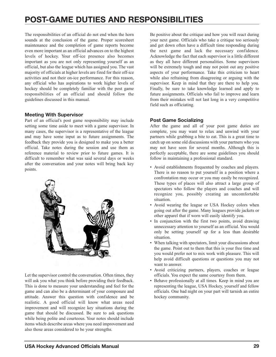# **POST-GAME DUTIES AND RESPONSIBILITIES**

The responsibilities of an official do not end when the horn sounds at the conclusion of the game. Proper scoresheet maintenance and the completion of game reports become even more important as an official advances on to the highest levels of hockey. Your off-ice presence also becomes important as you are not only representing yourself as an official, but also the league which has assigned you. The vast majority of officials at higher levels are fired for their off-ice activities and not their on-ice performance. For this reason, any official who has aspirations to work higher levels of hockey should be completely familiar with the post game responsibilities of an official and should follow the guidelines discussed in this manual.

### **Meeting With Supervisor**

Part of an official's post game responsibility may include setting some time aside to meet with a game supervisor. In many cases, the supervisor is a representative of the league and may have some input as to future assignments. The feedback they provide you is designed to make you a better official. Take notes during the session and use them as reference material to review prior to future games. It is difficult to remember what was said several days or weeks after the conversation and your notes will bring back key points.



Let the supervisor control the conversation. Often times, they will ask you what you think before providing their feedback. This is done to measure your understanding and feel for the game and can also be a determinant of your composure and attitude. Answer this question with confidence and be realistic. A good official will know what areas need improvement and will recognize key situations during the game that should be discussed. Be sure to ask questions while being polite and courteous. Your notes should include items which describe areas where you need improvement and also those areas considered to be your strengths.

<span id="page-31-0"></span>Be positive about the critique and how you will react during your next game. Officials who take a critique too seriously and get down often have a difficult time responding during the next game and lack the necessary confidence. Acknowledge the fact that each supervisor is a little different as they all have different personalities. Some supervisors will be extremely tough and may not point out any positive aspects of your performance. Take this criticism to heart while also refraining from disagreeing or arguing with the supervisor. Keep in mind that they are there to help you. Finally, be sure to take knowledge learned and apply to future assignments. Officials who fail to improve and learn from their mistakes will not last long in a very competitive field such as officiating.

## **Post Game Socializing**

After the game and all of your post game duties are complete, you may want to relax and unwind with your partners while grabbing a bite to eat. This is a great time to catch up on some old discussions with your partners who you may not have seen for several months. Although this is perfectly acceptable, there are some guidelines you should follow in maintaining a professional standard.

- Avoid establishments frequented by coaches and players. There is no reason to put yourself in a position where a confrontation may occur or you may easily be recognized. These types of places will also attract a large group of spectators who follow the players and coaches and will recognize you, possibly creating an uncomfortable situation.
- Avoid wearing the league or USA Hockey colors when going out after the game. Many leagues provide jackets or other apparel that if worn will easily identify you.
- In conjunction with the first two points, avoid drawing unnecessary attention to yourself as an official. You would only be setting yourself up for a less than desirable situation.
- When talking with spectators, limit your discussions about the game. Point out to them that this is your free time and you would prefer not to mix work with pleasure. This will help avoid difficult questions or questions you may not want to answer.
- Avoid criticizing partners, players, coaches or league officials. You expect the same courtesy from them.
- Behave professionally at all times. Keep in mind you are representing the league, USA Hockey, yourself and fellow officials. One bad night on your part will tarnish an entire hockey community.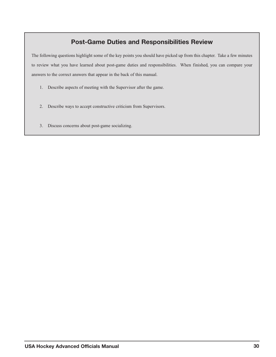## **Post-Game Duties and Responsibilities Review**

The following questions highlight some of the key points you should have picked up from this chapter. Take a few minutes to review what you have learned about post-game duties and responsibilities. When finished, you can compare your answers to the correct answers that appear in the back of this manual.

- 1. Describe aspects of meeting with the Supervisor after the game.
- 2. Describe ways to accept constructive criticism from Supervisors.
- 3. Discuss concerns about post-game socializing.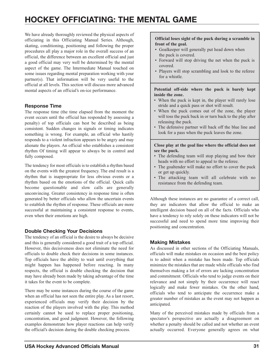# **HOCKEY OFFICIATING: THE MENTAL GAME**

We have already thoroughly reviewed the physical aspects of officiating in this Officiating Manual Series. Although, skating, conditioning, positioning and following the proper procedures all play a major role in the overall success of an official, the difference between an excellent official and just a good official may very well be determined by the mental aspect of the game. The Intermediate Manual touched on some issues regarding mental preparation working with your partner(s). That information will be very useful to the official at all levels. This section will discuss more advanced mental aspects of an official's on-ice performance.

### **Response Time**

The response time (the time elapsed from the moment the event occurs until the official has responded by assessing a penalty) of top officials can best be described as being consistent. Sudden changes in signals or timing indicates something is wrong. For example, an official who hastily responds to a violent infraction appears to be angry and may alienate the players. An official who establishes a consistent rhythm Of timing will appear to always be in control and fully composed.

The tendency for most officials is to establish a rhythm based on the events with the greatest frequency. The end result is a rhythm that is inappropriate for less obvious events or a rhythm based on the emotions of the official. Quick calls become questionable and slow calls are generally unconvincing. Greater consistency in response time is often generated by better officials who allow the uncertain events to establish the rhythm of response. These officials are more successful at maintaining a consistent response to events, even when their emotions are high.

## **Double Checking Your Decisions**

The tendency of an official is the desire to always be decisive and this is generally considered a good trait of a top official. However, this decisiveness does not eliminate the need for officials to double check their decisions in some instances. Top officials have the ability to wait until everything that might happen has happened before reacting. In many respects, the official is double checking the decision that may have already been made by taking advantage of the time it takes for the event to be complete.

There may be some instances during the course of the game when an official has not seen the entire play. As a last resort, experienced officials may verify their decision by the reaction of the players involved with the play. This method certainly cannot be used to replace proper positioning, concentration, and good judgment. However, the following examples demonstrate how player reactions can help verify the official's decision during the double checking process.

#### <span id="page-33-0"></span>**Official loses sight of the puck during a scramble in front of the goal.**

- Goalkeeper will generally put head down when the puck is covered.
- Forward will stop driving the net when the puck is covered.
- Players will stop scrambling and look to the referee for a whistle.

**Potential off-side where the puck is barely kept inside the zone.**

- When the puck is kept in, the player will rarely lose stride and a quick pass or shot will result.
- When the puck comes out of the zone, the player will toss the puck back in or turn back to the play after releasing the puck.
- The defensive partner will back off the blue line and look for a pass when the puck leaves the zone.

**Close play at the goal line where the official does not see the puck.**

- The defending team will stop playing and bow their heads with no effort to appeal to the referee.
- The goaltender will make no effort to cover the puck or get up quickly.
- The attacking team will all celebrate with no resistance from the defending team.

Although these instances are no guarantee of a correct call, they are indicators that allow the official to make an intelligent decision based on all of the facts. Officials who have a tendency to rely solely on these indicators will not be successful and need to spend more time improving their positioning and concentration.

#### **Making Mistakes**

As discussed in other sections of the Officiating Manuals, officials will make mistakes on occasion and the best policy is to admit when a mistake has been made. Top officials minimize the mistakes that are made while officials who find themselves making a lot of errors are lacking concentration and commitment. Officials who tend to judge events on their relevance and not simply by their occurrence will react logically and make fewer mistakes. On the other hand, officials who tend to anticipate the occurrence make a greater number of mistakes as the event may not happen as anticipated.

Many of the perceived mistakes made by officials from a spectator's perspective are actually a disagreement on whether a penalty should be called and not whether an event actually occurred. Everyone generally agrees on what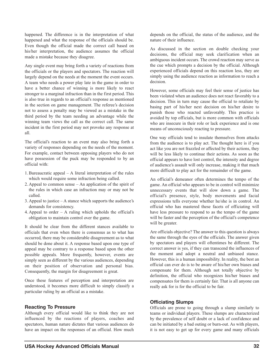happened. The difference is in the interpretation of what happened and what the response of the officials should be. Even though the official made the correct call based on his/her interpretation, the audience assumes the official made a mistake because they disagree.

Any single event may bring forth a variety of reactions from the officials or the players and spectators. The reaction will largely depend on the needs at the moment the event occurs. A team who needs a power play late in the game in order to have a better chance of winning is more likely to react stronger to a marginal infraction than in the first period. This is also true in regards to an official's response as mentioned in the section on game management. The referee's decision not to assess a penalty may be viewed as a mistake in the third period by the team needing an advantage while the winning team views the call as the correct call. The same incident in the first period may not provoke any response at all.

The official's reaction to an event may also bring forth a variety of responses depending on the needs of the moment. For example, contact between opposing players who do not have possession of the puck may be responded to by an official with:

- 1. Bureaucratic appeal A literal interpretation of the rules which would require some infraction being called.
- 2. Appeal to common sense An application of the spirit of the rules in which case an infraction may or may not be called.
- 3. Appeal to justice A stance which supports the audience's demands for consistency.
- 4. Appeal to order  $-$  A ruling which upholds the official's obligation to maintain control over the game.

It should be clear from the different stances available to officials that even when there is consensus as to what has occurred, there may be considerable disagreement as to what should be done about it. A response based upon one type of appeal may be contrary to a response based upon the other possible appeals. More frequently, however, events are simply seen as different by the various audiences, depending on their position of observation and personal bias. Consequently, the margin for disagreement is great.

Once these features of perception and interpretation are understood, it becomes more difficult to simply classify a particular ruling by an official as a mistake.

#### **Reacting To Pressure**

Although every official would like to think they are not influenced by the reactions of players, coaches and spectators, human nature dictates that various audiences do have an impact on the responses of an official. How much

depends on the official, the status of the audience, and the nature of their influence.

As discussed in the section on double checking your decisions, the official may seek clarification when an ambiguous incident occurs. The crowd reaction may serve as the cue which prompts a decision by the official. Although experienced officials depend on this reaction less, they are simply using the audience reaction as information to reach a decision.

However, some officials may feel their sense of justice has been violated when an audience does not react favorably to a decision. This in turn may cause the official to retaliate by basing part of his/her next decision on his/her desire to punish those who reacted unfavorably. This practice is avoided by top officials, but is more common with officials who are insecure in their role or lack experience and is one means of unconsciously reacting to pressure.

One way officials tend to insulate themselves from attacks from the audience is to play act. The thought here is if you act like you are not frazzled or affected by their actions, they will be less likely to continue their actions. As soon as the official appears to have lost control, the intensity and degree of audience's assault will only increase, making it that much more difficult to play act for the remainder of the game.

An official's demeanor often determines the tempo of the game. An official who appears to be in control will minimize unnecessary events that will slow down a game. The official's presence, style, body movements and facial expressions tells everyone whether he/she is in control. An official who has mastered these facets of officiating will have less pressure to respond to as the tempo of the game will be faster and the perception of the official's competence will be greater.

Are officials objective? The answer to this question is always the same through the eyes of the officials. The answer given by spectators and players will oftentimes be different. The correct answer is yes, if they can transcend the influences of the moment and adopt a neutral and unbiased stance. However, this is a human impossibility. In reality, the best an official can ever do is to be aware of his/her own biases and compensate for them. Although not totally objective by definition, the official who recognizes his/her biases and compensates for them is certainly fair. That is all anyone can really ask for is for the official to be fair.

#### **Officiating Slumps**

Officials are prone to going through a slump similarly to teams or individual players. These slumps are characterized by the prevalence of self doubt or a lack of confidence and can be initiated by a bad outing or burn-out. As with players, it is not easy to get up for every game and many officials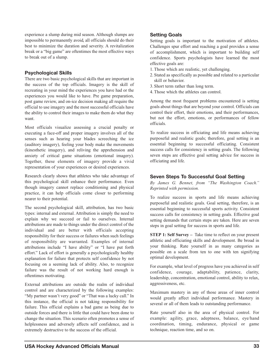experience a slump during mid season. Although slumps are impossible to permanently avoid, all officials should do their best to minimize the duration and severity. A revitalization break or a "big game" are oftentimes the most effective ways to break out of a slump.

## **Psychological Skills**

There are two basic psychological skills that are important in the success of the top officials. Imagery is the skill of recreating in your mind the experiences you have had or the experiences you would like to have. Pre game preparation, post game review, and on-ice decision making all require the official to use imagery and the most successful officials have the ability to control their images to make them do what they want.

Most officials visualize assessing a crucial penalty or executing a face-off and proper imagery involves all of the senses such as hearing your blades screeching the ice (auditory imagery), feeling your body make the movements (kinesthetic imagery), and reliving the apprehension and anxiety of critical game situations (emotional imagery). Together, these elements of imagery provide a vivid representation of your experiences or desired experiences.

Research clearly shows that athletes who take advantage of this psychological skill enhance their performance. Even though imagery cannot replace conditioning and physical practice, it can help officials come closer to performing nearer to their potential.

The second psychological skill, attribution, has two basic types: internal and external. Attribution is simply the need to explain why we succeed or fail to ourselves. Internal attributions are made to things under the direct control of the individual and are better with officials accepting responsibility for their success or failures when such feelings of responsibility are warranted. Examples of internal attributions include "I have ability" or "I have put forth effort." Lack of effort is generally a psychologically healthy explanation for failure that protects self confidence by not focusing on a seeming lack of ability. Also, to recognize failure was the result of not working hard enough is oftentimes motivating.

External attributions are outside the realm of individual control and are characterized by the following examples: "My partner wasn't very good" or "That was a lucky call." In this instance, the official is not taking responsibility for failure. This official explains a bad game as being due to outside forces and there is little that could have been done to change the situation. This scenario often promotes a sense of helplessness and adversely affects self confidence, and is extremely destructive to the success of the official.

## **Setting Goals**

Setting goals is important to the motivation of athletes. Challenges spur effort and reaching a goal provides a sense of accomplishment, which is important to building self confidence. Sports psychologists have learned the most effective goals are:

- 1. Those which are realistic, yet challenging.
- 2. Stated as specifically as possible and related to a particular skill or behavior.
- 3. Short term rather than long term.
- 4. Those which the athletes can control.

Among the most frequent problems encountered is setting goals about things that are beyond your control. Officials can control their effort, their emotions, and their performances, but not the effort, emotions, or performances of fellow officials.

To realize success in officiating and life means achieving purposeful and realistic goals; therefore, goal setting is an essential beginning to successful officiating. Consistent success calls for consistency in setting goals. The following seven steps are effective goal setting advice for success in officiating and life.

### **Seven Steps To Successful Goal Setting**

*By James G. Bennet, from "The Washington Coach." Reprinted with permission.*

To realize success in sports and life means achieving purposeful and realistic goals. Goal setting, therefore, is an essential beginning to successful sports activity. Consistent success calls for consistency in setting goals. Effective goal setting demands that certain steps are taken. Here are seven steps in goal setting for success in sports and life.

**STEP 1: Self Survey –** Take time to reflect on your present athletic and officiating skills and development. Be broad in your thinking. Rate yourself in as many categories as possible on a scale from ten to one with ten signifying optimal development.

For example, what level of progress have you achieved in self confidence, courage, adaptability, patience, clarity, leadership, concentration, emotional control, ability to relax, aggressiveness, etc.

Maximum mastery in any of those areas of inner control would greatly affect individual performance. Mastery in several or all of them leads to outstanding performance.

Rate yourself also in the area of physical control. For example: agility, grace, adeptness, balance, eye/hand coordination, timing, endurance, physical or game technique, reaction time, and so on.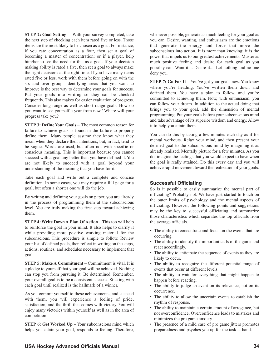**STEP 2: Goal Setting** – With your survey completed, take the next step of checking each item rated five or less. Those items are the most likely to be chosen as a goal. For instance, if you rate concentration as a four, then set a goal of becoming a master of concentration; or if a player, help him/her to see the need for this as a goal. If your decision making ability is rated a five, then set a goal to always make the right decisions at the right time. If you have many items rated five or less, work with them before going on with the six and over group. Identifying areas that you want to improve is the best way to determine your goals for success. Put your goals into writing so they can be checked frequently. This also makes for easier evaluation of progress. Consider long range as well as short range goals. How do you want to see yourself a year from now? Where will your progress take you?

**STEP 3: Define Your Goals** – The most common reason for failure to achieve goals is found in the failure to properly define them. Many people assume they know what they mean when they declare their intentions, but, in fact, tend to be vague. Words are used, but often not with specific or conscious meaning. This is important because you cannot succeed with a goal any better than you have defined it. You are not likely to succeed with a goal beyond your understanding of the meaning that you have for it.

Take each goal and write out a complete and concise definition. In some cases, you may require a full page for a goal, but often a shorter one will do the job.

By writing and defining your goals on paper, you are already in the process of programming them at the subconscious level. You are truly making the first step toward achieving them.

**STEP 4: Write Down A Plan Of Action** – This too will help to reinforce the goal in your mind. It also helps to clarify it while providing more positive working material for the subconscious. This procedure is simple to follow. Review your list of defined goals, then reflect in writing on the steps, actions, routines, and schedules necessary to implement that goal.

**STEP 5: Make A Commitment** – Commitment is vital. It is a pledge to yourself that your goal will be achieved. Nothing can stop you from pursuing it. Be determined. Remember, your overall goal is to be a consistent success. Sticking with each goal until realized is the hallmark of a winner.

As you commit yourself to these achievements, and succeed with them, you will experience a feeling of pride, satisfaction, and the thrill that comes with victory. You will enjoy many victories within yourself as well as in the area of competition.

**STEP 6: Get Worked Up** – Your subconscious mind which helps you attain your goal, responds to feeling. Therefore, whenever possible, generate as much feeling for your goal as you can. Desire, wanting, and enthusiasm are the emotions that generate the energy and force that move the subconscious into action. It is more than knowing; it is the power that impels us to our greatest achievements. Muster as much positive feeling and desire for each goal as you possibly can. Want it.... Desire it.... Let nothing and no one deny you.

**STEP 7: Go For It** – You've got your goals now. You know where you're heading. You've written them down and defined them. You have a plan to follow, and you're committed to achieving them. Now, with enthusiasm, you can follow your dream. In addition to the actual doing that brings you to your goal, add the dimension of mental programming. Put your goals before your subconscious mind and take advantage of its superior wisdom and energy. Allow it to help you attain them.

You can do this by taking a few minutes each day as if for mental workouts. Relax your mind, and then present your defined goal to the subconscious mind by imagining it as already realized. Mentally picture for a few minutes. As you do, imagine the feelings that you would expect to have when the goal is really attained. Do this every day and you will achieve rapid movement toward the realization of your goals.

## **Successful Officiating**

So is it possible to easily summarize the mental part of officiating? Probably not. We have just started to touch on the outer limits of psychology and the mental aspects of officiating. However, the following points and suggestions may be the key to successful officiating and summarize those characteristics which separates the top officials from the average officials.

- The ability to concentrate and focus on the events that are occurring.
- The ability to identify the important calls of the game and react accordingly.
- The ability to anticipate the sequence of events as they are likely to occur.
- The ability to recognize the different potential range of events that occur at different levels.
- The ability to wait for everything that might happen to happen before reacting.
- The ability to judge an event on its relevance, not on its occurrence.
- The ability to allow the uncertain events to establish the rhythm of response.
- The ability to maintain a certain amount of arrogance, but not overconfidence. Overconfidence leads to mistakes and minimizes the pre game anxiety.
- The presence of a mild case of pre game jitters promotes preparedness and psyches you up for the task at hand.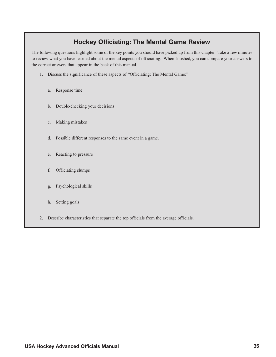## **Hockey Officiating: The Mental Game Review**

The following questions highlight some of the key points you should have picked up from this chapter. Take a few minutes to review what you have learned about the mental aspects of officiating. When finished, you can compare your answers to the correct answers that appear in the back of this manual.

- 1. Discuss the significance of these aspects of "Officiating: The Mental Game:"
	- a. Response time
	- b. Double-checking your decisions
	- c. Making mistakes
	- d. Possible different responses to the same event in a game.
	- e. Reacting to pressure
	- f. Officiating slumps
	- g. Psychological skills
	- h. Setting goals
- 2. Describe characteristics that separate the top officials from the average officials.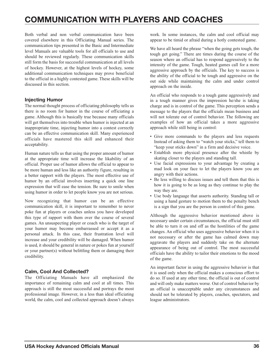# **COMMUNICATION WITH PLAYERS AND COACHES**

Both verbal and non verbal communication have been covered elsewhere in this Officiating Manual series. The communication tips presented in the Basic and Intermediate level Manuals are valuable tools for all officials to use and should be reviewed regularly. These communication skills still form the basis for successful communication at all levels of hockey. However, at the highest levels of hockey, some additional communication techniques may prove beneficial to the official in a highly contested game. These skills will be discussed in this section.

### **Injecting Humor**

The normal thought process of officiating philosophy tells us there is no room for humor in the course of officiating a game. Although this is basically true because many officials will get themselves into trouble when humor is injected at an inappropriate time, injecting humor into a contest correctly can be an effective communication skill. Many experienced officials have mastered this skill and enhanced their acceptability.

Human nature tells us that using the proper amount of humor at the appropriate time will increase the likability of an official. Proper use of humor allows the official to appear to be more human and less like an authority figure, resulting in a better rapport with the players. The most effective use of humor by an official involves inserting a quick one line expression that will ease the tension. Be sure to smile when using humor in order to let people know you are not serious.

Now recognizing that humor can be an effective communication skill, it is important to remember to never poke fun at players or coaches unless you have developed this type of rapport with them over the course of several games. An unsuspecting player or coach who is the target of your humor may become embarrassed or accept it as a personal attack. In this case, their frustration level will increase and your credibility will be damaged. When humor is used, it should be general in nature or pokes fun at yourself or your partner(s) without belittling them or damaging their credibility.

## **Calm, Cool And Collected?**

The Officiating Manuals have all emphasized the importance of remaining calm and cool at all times. This approach is still the most successful and portrays the most professional image. However, in a less than ideal officiating world, the calm, cool and collected approach doesn't always

<span id="page-38-0"></span>work. In some instances, the calm and cool official may appear to be timid or afraid during a hotly contested game.

We have all heard the phrase "when the going gets tough, the tough get going." There are times during the course of the season where an official has to respond aggressively to the intensity of the game. Tough, heated games call for a more aggressive approach by the officials. The key to success is the ability of the official to be tough and aggressive on the out side while maintaining the calm and under control approach on the inside.

An official who responds to a tough game aggressively and in a tough manner gives the impression he/she is taking charge and is in control of the game. This perception sends a message to the players that the officials mean business and will not tolerate out of control behavior. The following are examples of how an official takes a more aggressive approach while still being in control:

- Give more commands to the players and less requests Instead of asking them to "watch your sticks," tell them to "keep your sticks down" in a firm and decisive voice.
- Establish more physical presence after the whistle by skating closer to the players and standing tall.
- Use facial expressions to your advantage by creating a mad look on your face to let the players know you are angry with their actions.
- Be less willing to discuss issues and tell them that this is how it is going to be as long as they continue to play the way they are.
- Use body language that asserts authority. Standing tall or using a hand gesture to motion them to the penalty bench is a sign that you are the person in control of this game.

Although the aggressive behavior mentioned above is necessary under certain circumstances, the official must still be able to turn it on and off as the hostilities of the game changes. An official who uses aggressive behavior when it is not necessary or after the game has calmed down may aggravate the players and suddenly take on the alternate appearance of being out of control. The most successful officials have the ability to tailor their emotions to the mood of the game.

An important factor in using the aggressive behavior is that it is used only when the official makes a conscious effort to do so. If used at any other time, the official is out of control and will only make matters worse. Out of control behavior by an official is unacceptable under any circumstances and should not be tolerated by players, coaches, spectators, and league administrators.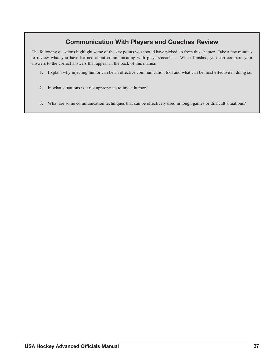## **Communication With Players and Coaches Review**

The following questions highlight some of the key points you should have picked up from this chapter. Take a few minutes to review what you have learned about communicating with players/coaches. When finished, you can compare your answers to the correct answers that appear in the back of this manual.

- 1. Explain why injecting humor can be an effective communication tool and what can be most effective in doing so.
- 2. In what situations is it not appropriate to inject humor?
- 3. What are some communication techniques that can be effectively used in tough games or difficult situations?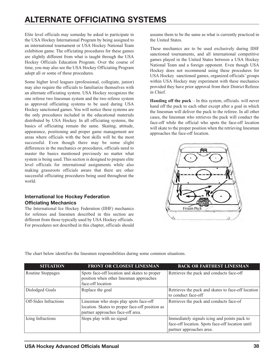# **ALTERNATE OFFICIATING SYSTEMS**

Elite level officials may someday be asked to participate in the USA Hockey International Program by being assigned to an international tournament or USA Hockey National Team exhibition game. The officiating procedures for these games are slightly different from what is taught through the USA Hockey Officials Education Program. Over the course of time, you may also see the USA Hockey Officiating Program adopt all or some of these procedures.

Some higher level leagues (professional, collegiate, junior) may also require the officials to familiarize themselves with an alternate officiating system. USA Hockey recognizes the one referee two linesman system and the two referee system as approved officiating systems to be used during USA Hockey sanctioned games. You will notice these systems are the only procedures included in the educational materials distributed by USA Hockey. In all officiating systems, the basics of officiating remain the same. Skating, attitude, appearance, positioning and proper game management are areas where officials with the best skills will be the most successful. Even though there may be some slight differences in the mechanics or procedures, officials need to master the basics mentioned previously no matter what system is being used. This section is designed to prepare elite level officials for international assignments while also making grassroots officials aware that there are other successful officiating procedures being used throughout the world.

## **International Ice Hockey Federation Officiating Mechanics**

The International Ice Hockey Federation (IIHF) mechanics for referees and linesmen described in this section are different from those typically used by USA Hockey officials. For procedures not described in this chapter, officials should <span id="page-40-0"></span>assume them to be the same as what is currently practiced in the United States.

These mechanics are to be used exclusively during IIHF sanctioned tournaments, and all international competitive games played in the United States between a USA Hockey National Team and a foreign opponent. Even though USA Hockey does not recommend using these procedures for USA Hockey sanctioned games, organized officials' groups within USA Hockey may experiment with these mechanics provided they have prior approval from their District Referee in Chief.

**Handing off the puck** – In this system, officials. will never hand off the puck to each other except after a goal in which the linesman will deliver the puck to the referee. In all other cases, the linesman who retrieves the puck will conduct the face-off while the official who spots the face-off location will skate to the proper position when the retrieving linesman approaches the face-off location.



The chart below identifies the linesmen responsibilities during some common situations.

| <b>SITUATION</b>      | <b>FRONT OR CLOSEST LINESMAN</b>                                                                                               | <b>BACK OR FARTHEST LINESMAN</b>                                                                                             |
|-----------------------|--------------------------------------------------------------------------------------------------------------------------------|------------------------------------------------------------------------------------------------------------------------------|
| Routine Stoppages     | Spots face-off location and skates to proper<br>position when other linesman approaches<br>face-off location                   | Retrieves the puck and conducts face-off                                                                                     |
| Dislodged Goals       | Replace the goal                                                                                                               | Retrieves the puck and skates to face-off location<br>to conduct face-off                                                    |
| Off-Sides Infractions | Linesman who stops play spots face-off<br>location. Skates to proper face-off position as<br>partner approaches face-off area. | Retrieves the puck and conducts face-of                                                                                      |
| Icing Infractions     | Stops play with no signal                                                                                                      | Immediately signals icing and points pack to<br>face-off location. Spots face-off location until<br>partner approaches area. |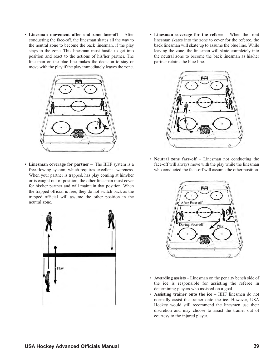• **Linesman movement after end zone face-off** – After conducting the face-off, the linesman skates all the way to the neutral zone to become the back linesman, if the play stays in the zone. This linesman must hustle to get into position and react to the actions of his/her partner. The linesman on the blue line makes the decision to stay or move with the play if the play immediately leaves the zone.



• **Linesman coverage for partner** – The IIHF system is a free-flowing system, which requires excellent awareness. When your partner is trapped, has play coming at him/her or is caught out of position, the other linesman must cover for his/her partner and will maintain that position. When the trapped official is free, they do not switch back as the trapped official will assume the other position in the neutral zone.



• **Linesman coverage for the referee** – When the front linesman skates into the zone to cover for the referee, the back linesman will skate up to assume the blue line. While leaving the zone, the linesman will skate completely into the neutral zone to become the back linesman as his/her partner retains the blue line.



• **Neutral zone face-off** – Linesman not conducting the face-off will always move with the play while the linesman who conducted the face-off will assume the other position.



- **Awarding assists** Linesman on the penalty bench side of the ice is responsible for assisting the referee in determining players who assisted on a goal.
- **Assisting trainer onto the ice** IIHF linesmen do not normally assist the trainer onto the ice. However, USA Hockey would still recommend the linesmen use their discretion and may choose to assist the trainer out of courtesy to the injured player.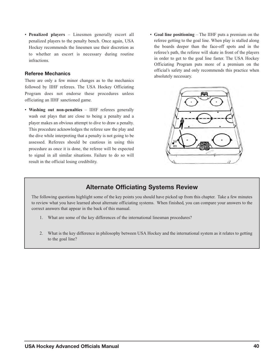• **Penalized players** – Linesmen generally escort all penalized players to the penalty bench. Once again, USA Hockey recommends the linesmen use their discretion as to whether an escort is necessary during routine infractions.

#### **Referee Mechanics**

There are only a few minor changes as to the mechanics followed by IIHF referees. The USA Hockey Officiating Program does not endorse these procedures unless officiating an IIHF sanctioned game.

- **Washing out non-penalties** IIHF referees generally wash out plays that are close to being a penalty and a player makes an obvious attempt to dive to draw a penalty. This procedure acknowledges the referee saw the play and the dive while interpreting that a penalty is not going to be assessed. Referees should be cautious in using this procedure as once it is done, the referee will be expected to signal in all similar situations. Failure to do so will result in the official losing credibility.
- **Goal line positioning** The IIHF puts a premium on the referee getting to the goal line. When play is stalled along the boards deeper than the face-off spots and in the referee's path, the referee will skate in front of the players in order to get to the goal line faster. The USA Hockey Officiating Program puts more of a premium on the official's safety and only recommends this practice when absolutely necessary.



## **Alternate Officiating Systems Review**

The following questions highlight some of the key points you should have picked up from this chapter. Take a few minutes to review what you have learned about alternate officiating systems. When finished, you can compare your answers to the correct answers that appear in the back of this manual.

- 1. What are some of the key differences of the international linesman procedures?
- 2. What is the key difference in philosophy between USA Hockey and the international system as it relates to getting to the goal line?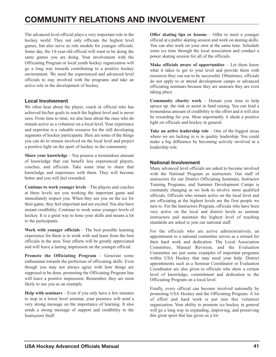# **COMMUNITY RELATIONS AND INVOLVEMENT**

The advanced level official plays a very important role in the hockey world. They not only officiate the highest level games, but also serve as role models for younger officials. Some day, the 14-year-old official will want to be doing the same games you are doing. Your involvement with the Officiating Program or local youth hockey organization will go a long way towards contributing to a positive hockey environment. We need the experienced and advanced level officials to stay involved with the programs and take an active role in the development of hockey.

## **Local Involvement**

We often hear about the player, coach or official who has achieved his/her goals to reach the highest level and is never seen. From time to time, we also hear about the ones who do remain active as a volunteer on a local level. Your experience and expertise is a valuable resource for the still developing segments of hockey participants. Here are some of the things you can do to remain involved on the local level and project a positive light on the sport of hockey in the community.

**Share your knowledge** – You possess a tremendous amount of knowledge that can benefit less experienced players, coaches, and officials. Take some time to share that knowledge and experience with them. They will become better and you will feel rewarded.

**Continue to work younger levels** – The players and coaches at these levels see you working the important game and immediately respect you. When they see you on the ice for their game, they feel important and are excited. You also have instant credibility. Continue to work some younger levels of hockey. It is a great way to hone your skills and means a lot to the participants.

**Work with younger officials** – The best possible learning experience for them is to work with and learn from the best officials in the area. Your efforts will be greatly appreciated and will leave a lasting impression on the younger official.

**Promote the Officiating Program** – Generate some enthusiasm towards the perfection of officiating skills. Even though you may not always agree with how things are supposed to be done, promoting the Officiating Program line will leave a positive impression. Remember, they are most likely to use you as an example.

**Help with seminars** – Even if you only have a few minutes to stop in a lower level seminar, your presence will send a very strong message on the importance of learning. It also sends a strong message of support and credibility to the Instructors Staff.

<span id="page-43-0"></span>**Offer skating tips or lessons** – Offer to meet a younger official at a public skating session and work on skating skills. You can also work on your own at the same time. Schedule some ice time through the local association and conduct a power skating session for all of the officials.

**Make officials aware of opportunities** – Let them know what it takes to get to your level and provide them with resources they can use to be successful. Oftentimes, officials do not apply to or attend development camps or advanced officiating seminars because they are unaware they are even taking place.

**Community charity work** – Donate your time to help spruce up. the rink or assist in fund raising. You can lend a tremendous amount of credibility to the effort and it will also be rewarding for you. Most importantly, it sheds a positive light on officials and hockey in general.

**Take an active leadership role** – One of the biggest areas where we are lacking in is in quality leadership. You could make a big difference by becoming actively involved in a leadership role.

### **National Involvement**

Many advanced level officials are asked to become involved with the National Program as instructors. Our staff of instructors for our District Officiating Seminars, Instructor Training Programs, and Summer Development Camps is constantly changing as we look to involve more qualified officials. Officials who remain active on the local level and are officiating at the highest levels are the first people we turn to. For the Instructors Program, officials who have been very active on the local and district levels as seminar instructors and maintain the highest level of teaching standards are asked to join our national staff.

For the officials who are active administratively, an appointment to a national committee serves as a reward for their hard work and dedication. The Local Association Committee, Manual Revision, and the Evaluation Committee are just some examples of important programs within USA Hockey that may need your help. District appointments such as a Seminar Coordinator or Evaluation Coordinator are also given to officials who show a certain level of knowledge, commitment and dedication to the Officiating Program on a local level.

Finally, every official can become involved nationally by promoting USA Hockey and the Officiating Program. A lot of effort and hard work is put into this volunteer organization. Your ability to promote ice hockey in general will go a long way in expanding, improving, and preserving this great sport that has given us a lot.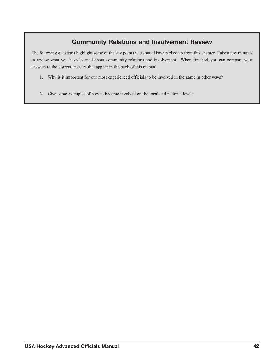## **Community Relations and Involvement Review**

The following questions highlight some of the key points you should have picked up from this chapter. Take a few minutes to review what you have learned about community relations and involvement. When finished, you can compare your answers to the correct answers that appear in the back of this manual.

- 1. Why is it important for our most experienced officials to be involved in the game in other ways?
- 2. Give some examples of how to become involved on the local and national levels.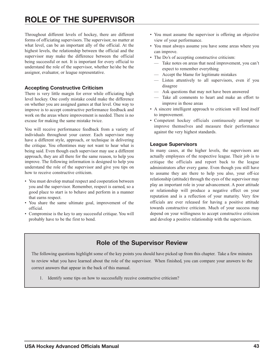# **ROLE OF THE SUPERVISOR**

Throughout different levels of hockey, there are different forms of officiating supervisors. The supervisor, no matter at what level, can be an important ally of the official. At the highest levels, the relationship between the official and the supervisor may make the difference between the official being successful or not. It is important for every official to understand the role of the supervisor, whether he/she be the assignor, evaluator, or league representative.

## **Accepting Constructive Criticism**

There is very little margin for error while officiating high level hockey. One costly mistake could make the difference on whether you are assigned games at that level. One way to improve is to accept constructive performance feedback and work on the areas where improvement is needed. There is no excuse for making the same mistake twice.

You will receive performance feedback from a variety of individuals throughout your career. Each supervisor may have a different style, approach, or technique in delivering the critique. You oftentimes may not want to hear what is being said. Even though each supervisor may use a different approach, they are all there for the same reason, to help you improve. The following information is designed to help you understand the role of the supervisor and give you tips on how to receive constructive criticism.

- You must develop mutual respect and cooperation between you and the supervisor. Remember, respect is earned, so a good place to start is to behave and perform in a manner that earns respect.
- You share the same ultimate goal, improvement of the official.
- Compromise is the key to any successful critique. You will probably have to be the first to bend.
- <span id="page-45-0"></span>• You must assume the supervisor is offering an objective view of your performance.
- You must always assume you have some areas where you can improve.
- The Do's of accepting constructive criticism:
	- Take notes on areas that need improvement, you can't expect to remember everything
	- Accept the blame for legitimate mistakes
	- Listen attentively to all supervisors, even if you disagree
	- Ask questions that may not have been answered
	- Take all comments to heart and make an effort to improve in those areas
- A sincere intelligent approach to criticism will lend itself to improvement.
- Competent hockey officials continuously attempt to improve themselves and measure their performance against the very highest standards.

### **League Supervisors**

In many cases, at the higher levels, the supervisors are actually employees of the respective league. Their job is to critique the officials and report back to the league administrators after every game. Even though you still have to assume they are there to help you also, your off-ice relationship (attitude) through the eyes of the supervisor may play an important role in your advancement. A poor attitude or relationship will produce a negative effect on your reputation and is a reflection of your maturity. Very few officials are ever released for having a positive attitude towards constructive criticism. Much of your success may depend on your willingness to accept constructive criticism and develop a positive relationship with the supervisors.

## **Role of the Supervisor Review**

The following questions highlight some of the key points you should have picked up from this chapter. Take a few minutes to review what you have learned about the role of the supervisor. When finished, you can compare your answers to the correct answers that appear in the back of this manual.

1. Identify some tips on how to successfully receive constructive criticism?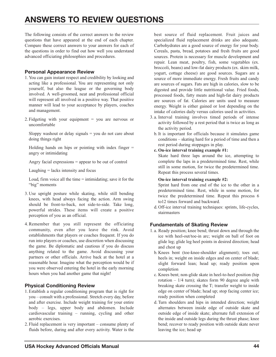# **ANSWERS TO REVIEW QUESTIONS**

The following consists of the correct answers to the review questions that have appeared at the end of each chapter. Compare these correct answers to your answers for each of the questions in order to find out how well you understand advanced officiating philosophies and procedures.

## **Personal Appearance Review**

- 1. You can gain instant respect and credibility by looking and acting like a professional. You are representing not only yourself, but also the league or the governing body involved. A well-groomed, neat and professional official will represent all involved in a positive way. That positive manner will lead to your acceptance by players, coaches and management.
- 2. Fidgeting with your equipment = you are nervous or uncomfortable

Sloppy washout or delay signals  $=$  you do not care about doing things right

Holding hands on hips or pointing with index finger  $=$ angry or intimidating

Angry facial expressions = appear to be out of control

Laughing = lacks intensity and focus

Loud, firm voice all the time = intimidating; save it for the "big" moments

- 3. Use upright posture while skating, while still bending knees, with head always facing the action. Arm swing should be front-to-back, not side-to-side. Take long, powerful strides. These items will create a positive perception of you as an official.
- 4. Remember that you still represent the officiating community, even after you leave the rink. Avoid establishments that players or coaches frequent. If you do run into players or coaches, use discretion when discussing the game. Be diplomatic and cautious if you do discuss anything related to the game. Avoid discussing your partners or other officials. Arrive back at the hotel at a reasonable hour. Imagine what the perception would be if you were observed entering the hotel in the early morning hours when you had another game that night!

## **Physical Conditioning Review**

- 1. Establish a regular conditioning program that is right for you – consult with a professional. Stretch every day, before and after exercise. Include weight training for your entire body – legs, upper body and abdomen. Include cardiovascular training – running, cycling and other aerobic exercises.
- 2. Fluid replacement is very important consume plenty of fluids before, during and after every activity. Water is the

<span id="page-46-0"></span>best source of fluid replacement. Fruit juices and specialized fluid replacement drinks are also adequate. Carbohydrates are a good source of energy for your body. Cereals, pasta, bread, potatoes and fresh fruits are good sources. Protein is necessary for muscle development and repair. Lean meat, poultry, fish, some vegetables (ex. broccoli, beans) and low-fat dairy products (ex. skim milk, yogurt, cottage cheese) are good sources. Sugars are a source of more immediate energy. Fresh fruits and candy are sources of sugars. Fats are high in calories, slow to be digested and provide little nutritional value. Fried foods, processed foods, fatty meats and high-fat dairy products are sources of fat. Calories are units used to measure energy. Weight is either gained or lost depending on the intake of calories daily versus calories used in activities.

- 3. a. Interval training involves timed periods of intense activity followed by a rest period that is twice as long as the activity period.
	- b. It is important for officials because it simulates game conditions – skating hard for a period of time and then a rest period during stoppages in play.

#### **c. On-ice interval training example #1:**

Skate hard three laps around the ice, attempting to complete the laps in a predetermined time. Rest, while still in some motion, for twice the predetermined time. Repeat this process several times.

#### **On-ice interval training example #2:**

Sprint hard from one end of the ice to the other in a predetermined time. Rest, while in some motion, for twice the predetermined time. Repeat this process 6 to12 times forward and backward.

d. Off-ice interval training techniques: sprints, life-cycles, stairmasters

## **Fundamentals of Skating Review**

- 1. a. Ready position; knee bend; thrust down and through the ice with heel-out/toe-in arc; weight on ball of foot on glide leg; glide leg heel points in desired direction; head and chest up
	- b. Knees bent (toe-knee-shoulder alignment); toes out; heels in; weight on inside edges and on center of blade; slight forward lean; head up; ready position upon completion
	- c. Knees bent; non-glide skate in heel-to-heel position (hip rotation – 1/4 turn); skates form 90 degree angle with breaking skate crossing the T; transfer weight to inside edge on center of blade; head up; stop facing center ice; ready position when completed
	- d. Turn shoulders and hips in intended direction; weight alternates between inside edge of outside skate and outside edge of inside skate; alternate full extension of the inside and outside legs during the thrust phase; knee bend; recover to ready position with outside skate never leaving the ice; head up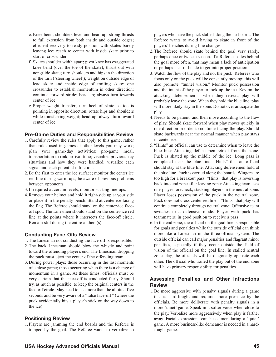- e. Knee bend; shoulders level and head up; strong thrusts to full extension from both inside and outside edges; efficient recovery to ready position with skates barely leaving ice; reach to center with inside skate prior to start of crossunder
- f. Skates shoulder width apart; pivot knee has exaggerated knee bend (over the toe of the skate); thrust out with non-glide skate; turn shoulders and hips in the direction of the turn ('steering wheel'); weight on outside edge of lead skate and inside edge of trailing skate; one crossunder to establish momentum in other direction; continue forward stride; head up; always turn towards center of ice
- g. Proper weight transfer; turn heel of skate so toe is pointing in opposite direction; rotate hips and shoulders while transferring weight; head up; always turn toward center of ice

#### **Pre-Game Duties and Responsibilities Review**

- 1. Carefully review the rules that apply to this game, rather than rules used in games at other levels you may work; plan your game-day activities: pre-game meal, transportation to rink, arrival time; visualize previous key situations and how they were handled; visualize each signal and each potential infraction.
- 2. Be the first to enter the ice surface; monitor the center ice red line during warm-ups; be aware of previous problems between opponents.
- 3. If required at certain levels, monitor starting line-ups.
- 4. Remove your helmet and hold it right-side up at your side or place it in the penalty bench. Stand at center ice facing the flag. The Referee should stand on the center-ice faceoff spot. The Linesmen should stand on the center-ice red line at the points where it intersects the face-off circle. Remain still during the entire anthem(s).

## **Conducting Face-Offs Review**

- 1. The Linesman not conducting the face-off is responsible.
- 2. The back Linesman should blow the whistle and point toward the offending player's end. The Linesman dropping the puck must eject the center of the offending team.
- 3. During power plays; those occurring in the last moments of a close game; those occurring when there is a change of momentum in a game. At these times, officials must be very certain that the face-off is conducted fairly. Should try, as much as possible, to keep the original centers in the face-off circle. May need to use more than the allotted five seconds and be very aware of a "false face-off" (where the puck accidentally hits a player's stick on the way down to the ice)

## **Positioning Review**

1. Players are jamming the end boards and the Referee is trapped by the goal. The Referee wants to verbalize to

players who have the puck stalled along the far boards. The Referee wants to avoid having to skate in front of the players' benches during line changes.

- 2. The Referee should skate behind the goal very rarely, perhaps once or twice a season. If a Referee skates behind the goal more often, that may mean a lack of anticipation or perhaps lack of hustle to get into proper position.
- 3. Watch the flow of the play and not the puck. Referees who focus only on the puck will be constantly moving; this will also promote "tunnel vision." Monitor puck possession and the intent of the player to look up the ice. Key on the attacking defensemen – when they retreat, play will probably leave the zone. When they hold the blue line, play will more likely stay in the zone. Do not over anticipate the play.
- 4. Needs to be patient, and then move according to the flow of play. Should skate forward when play moves quickly in one direction in order to continue facing the play. Should skate backwards near the normal manner when play stays in center ice.
- 5. "Hints" an official can use to determine when to leave the blue line: Attacking defensemen retreat from the zone. Puck is skated up the middle of the ice. Long pass is completed near the blue line. "Hints" that an official should stay at the blue line: Attacking defensemen hold at the blue line. Puck is carried along the boards. Wingers are too high for a breakout pass. "Hints" that play is reversing back into end zone after leaving zone: Attacking team uses one-player forecheck, stacking players in the neutral zone. Player loses possession of the puck in the neutral zone. Puck does not cross center red line. "Hints" that play will continue completely through neutral zone: Offensive team switches to a defensive mode. Player with puck has teammate(s) in good position to receive a pass
- 6. In the end zone, the official on the goal line is responsible for goals and penalties while the outside official can think more like a Linesman in the three-official system. The outside official can call major penalties and flagrant minor penalties, especially if they occur outside the field of vision of the official on the goal line. In stalled neutral zone play, the officials will be diagonally opposite each other. The official who trailed the play out of the end zone will have primary responsibility for penalties.

## **Assessing Penalties and Other Infractions Review**

1. Be more aggressive with penalty signals during a game that is hard-fought and requires more presence by the officials. Be more deliberate with penalty signals in a more 'quiet' game. Speak in a softer voice when close to the play. Verbalize more aggressively when play is farther away. Facial expressions can be calmer during a 'quiet' game. A more business-like demeanor is needed in a hardfought game.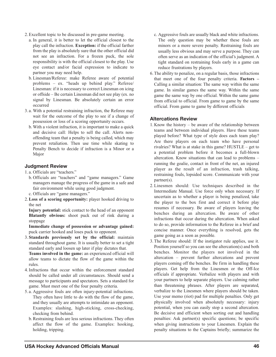- 2. Excellent topic to be discussed in pre-game meeting.
	- a. In general, it is better to let the official closest to the play call the infraction. **Exception:** if the official farther from the play is absolutely sure that the other official did not see an infraction. For a frozen puck, the sole responsibility is with the official closest to the play. Use eye contact and/or facial expression to indicate to partner you may need help.
	- b. Linesman/Referee: make Referee aware of potential problems – ex. "heads up behind play." Referee/ Linesman: if it is necessary to correct Linesman on icing or offside – Be certain Linesman did not see play (ex. no signal by Linesman. Be absolutely certain an error occurred
- 3. a. With a potential restraining infraction, the Referee may wait for the outcome of the play to see if a change of possession or loss of a scoring opportunity occurs.
	- b. With a violent infraction, it is important to make a quick and decisive call: Helps to sell the call. Alerts nonoffending team that a penalty is being called, which may prevent retaliation. Then use time while skating to Penalty Bench to decide if infraction is a Minor or a Major

## **Judgment Review**

- 1. a. Officials are "teachers."
- b. Officials are "teachers" and "game managers." Game managers manage the progress of the game in a safe and fair environment while using good judgment. c. Officials are "game managers."
- 2.**Loss of a scoring opportunity:** player hooked driving to the net

**Injury potential:** stick contact to the head of an opponent **Blatantly obvious:** shoot puck out of rink during a stoppage

**Immediate change of possession or advantage gained:** puck carrier hooked and loses puck to opponent.

3. **Standards previously set by the official:** maintain standard throughout game. It is usually better to set a tight standard early and loosen up later if play dictates that.

**Teams involved in the game:** an experienced official will allow teams to dictate the flow of the game within the rules.

- 4. Infractions that occur within the enforcement standard should be called under all circumstances. Should send a message to participants and spectators. Sets a standard for game. Must meet one of the four penalty criteria.
- 5. a. Aggressive fouls are often injury-potential infractions. They often have little to do with the flow of the game, and they usually are attempts to intimidate an opponent. Examples: slashing, high-sticking, cross-checking, checking from behind.
	- b. Restraining fouls are less serious infractions. They often affect the flow of the game. Examples: hooking, holding, tripping.
- c. Aggressive fouls are usually black and white infractions. The only question may be whether these fouls are minors or a more severe penalty. Restraining fouls are usually less obvious and may serve a purpose. They can often serve as an indication of the official's judgment. A tight standard on restraining fouls early in a game can reduce frustrations by players.
- 6. The ability to penalize, on a regular basis, those infractions that meet one of the four penalty criteria. **Factors –** Calling a similar situation: The same way within the same game. In similar games the same way. Within the same game the same way by one official. Within the same game from official to official. From game to game by the same official. From game to game by different officials

#### **Altercations Review**

- 1. Know the history be aware of the relationship between teams and between individual players. Have these teams played before? What type of style does each team play? Are there players on each team who have personal rivalries? What is at stake in this game? HUSTLE – get to a potential problem before it becomes a full-blown altercation. Know situations that can lead to problems – running the goalie, contact in front of the net, an injured player as the result of an infraction, trash talking, restraining fouls, lopsided score. Communicate with your partner(s).
- 2. Linesmen should: Use techniques described in the Intermediate Manual. Use force only when necessary. If uncertain as to whether a player is being penalized, take the player to the box first and correct it before play resumes if necessary. Be aware of players leaving the benches during an altercation. Be aware of other infractions that occur during the altercation. When asked to do so, provide information to the Referee in a brief and concise manner. Once everything is resolved, gets the game going as a soon as possible.
- 3. The Referee should: If the instigator rule applies, use it. Position yourself so you can see the altercation(s) and both benches. Monitor the players not involved in the altercation – prevent further altercations and prevent players coming off the benches. Be firm in handling these players. Get help from the Linesmen or the Off-Ice officials if appropriate. Verbalize with players and with your partners to help separate players. Use calming rather than threatening phrases. After players are separated, verbalize to the Linesmen where players should be taken. Use your memo (riot) pad for multiple penalties. Only get physically involved when absolutely necessary: injury potential, when you can easily stop a second altercation. Be decisive and efficient when sorting out and handling penalties: Ask partner(s) specific questions; be specific when giving instructions to your Linesmen. Explain the penalty situations to the Captains briefly; summarize the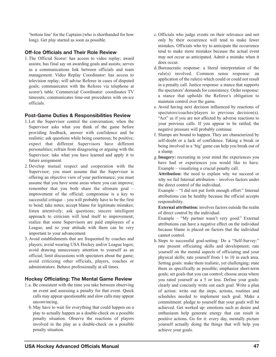'bottom line' for the Captains (who is shorthanded for how long). Get play started as soon as possible.

### **Off-Ice Officials and Their Role Review**

1. The Official Scorer: has access to video replay; award assists; has final say on awarding goals and assists; serves as a communications link between officials and team management. Video Replay Coordinator: has access to television replay; will advise Referee in cases of disputed goals; communicates with the Referee via telephone at scorer's table. Commercial Coordinator: coordinates TV timeouts; communicates time-out procedures with on-ice officials.

### **Post-Game Duties & Responsibilities Review**

- 1. Let the Supervisor control the conversation; when the Supervisor asks what you think of the game before providing feedback, answer with confidence and be realistic; ask questions while being courteous; be positive; expect that different Supervisors have different personalities; refrain from disagreeing or arguing with the Supervisor; take what you have learned and apply it to future assignment.
- 2. Develop mutual respect and cooperation with the Supervisor; you must assume that the Supervisor is offering an objective view of your performance; you must assume that you have some areas where you can improve; remember that you both share the ultimate goal – improvement of the official; compromise is a key to successful critique – you will probably have to be the first to bend; take notes; accept blame for legitimate mistakes; listen attentively; ask questions; sincere intelligent approach to criticism will lend itself to improvement; realize that some Supervisors are paid employees of a League, and so your attitude with them can be very important to your advancement
- 3. Avoid establishments that are frequented by coaches and players; avoid wearing USA Hockey and/or League logos; avoid drawing unnecessary attention to yourself as an official; limit discussions with spectators about the game; avoid criticizing other officials, players, coaches or administrators. Behave professionally at all times.

## **Hockey Officiating: The Mental Game Review**

- 1.a. Be consistent with the time you take between observing an event and assessing a penalty for that event. Quick calls may appear questionable and slow calls may appear unconvincing.
	- b. May have to wait for everything that could happen on a play to actually happen as a double-check on a possible penalty situation. Observe the reactions of players involved in the play as a double-check on a possible penalty situation.
- c. Officials who judge events on their relevance and not only by their occurrence will tend to make fewer mistakes. Officials who try to anticipate the occurrence tend to make more mistakes because the actual event may not occur as anticipated. Admit a mistake when it does occur.
- d. Bureaucratic response: a literal interpretation of the rule(s) involved. Common sense response: an application of the rule(s) which could or could not result in a penalty call. Justice response: a stance that supports the spectators' demands for consistency. Order response: a stance that upholds the Referee's obligation to maintain control over the game.
- e. Avoid having next decision influenced by reactions of spectators/coaches/players to previous decision(s). "Act" as if you are not affected by adverse reactions to your previous calls. If you appear to be rattled, the negative pressure will probably continue.
- f. Slumps are bound to happen. They are characterized by self-doubt or a lack of confidence. Taking a break or being involved in a 'big' game can help you break out of a slump.
- g.**Imagery:** recreating in your mind the experiences you have had or experiences you would like to have. Example – visualizing a crucial penalty call.

**Attribution:** the need to explain why we succeed or why we fail Internal attribution – involves factors under the direct control of the individual.

Example – "I did not put forth enough effort." Internal attributions can be healthy because the official accepts responsibility.

**External attribution:** involves factors outside the realm of direct control by the individual.

Example – "My partner wasn't very good." External attributions can have a negative effect on the individual because blame is placed on factors that the individual cannot control.

h. Steps to successful goal-setting: Do a "Self-Survey:" rate present officiating skills and development; rate yourself on the mental aspects of officiating and your physical skills; rate yourself from 1 to 10 in each area. Setting goals: make them realistic, yet challenging; state them as specifically as possible; emphasize short-term goals; set goals that you can control; choose areas where you rated yourself as a 5 or less. Define your goals: clearly and concisely write out each goal. Write a plan of action: write out the steps, actions, routines and schedules needed to implement each goal. Make a commitment: pledge to yourself that your goals will be achieved. Get worked up: emotions such as desire and enthusiasm help generate energy that can result in positive actions. Go for it: every day, mentally picture yourself actually doing the things that will help you achieve your goals.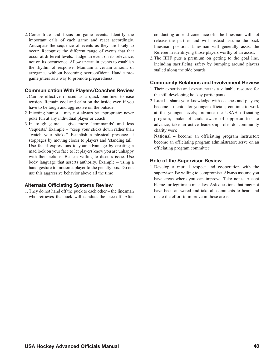2. Concentrate and focus on game events. Identify the important calls of each game and react accordingly. Anticipate the sequence of events as they are likely to occur. Recognize the different range of events that that occur at different levels. Judge an event on its relevance, not on its occurrence. Allow uncertain events to establish the rhythm of response. Maintain a certain amount of arrogance without becoming overconfident. Handle pregame jitters as a way to promote preparedness.

#### **Communication With Players/Coaches Review**

- 1. Can be effective if used as a quick one-liner to ease tension. Remain cool and calm on the inside even if you have to be tough and aggressive on the outside.
- 2. Injecting humor may not always be appropriate; never poke fun at any individual player or coach.
- 3. In tough game give more 'commands' and less 'requests.' Example – "keep your sticks down rather than "watch your sticks." Establish a physical presence at stoppages by moving closer to players and 'standing tall.' Use facial expressions to your advantage by creating a mad look on your face to let players know you are unhappy with their actions. Be less willing to discuss issue. Use body language that asserts authority. Example – using a hand gesture to motion a player to the penalty box. Do not use this aggressive behavior above all the time

#### **Alternate Officiating Systems Review**

1. They do not hand off the puck to each other – the linesman who retrieves the puck will conduct the face-off. After conducting an end zone face-off, the linesman will not release the partner and will instead assume the back linesman position. Linesman will generally assist the Referee in identifying those players worthy of an assist.

2. The IIHF puts a premium on getting to the goal line, including sacrificing safety by bumping around players stalled along the side boards.

## **Community Relations and Involvement Review**

- 1. Their expertise and experience is a valuable resource for the still developing hockey participants.
- 2.**Local –** share your knowledge with coaches and players; become a mentor for younger officials; continue to work at the younger levels; promote the USAH officiating program; make officials aware of opportunities to advance; take an active leadership role; do community charity work

**National –** become an officiating program instructor; become an officiating program administrator; serve on an officiating program committee

## **Role of the Supervisor Review**

1. Develop a mutual respect and cooperation with the supervisor. Be willing to compromise. Always assume you have areas where you can improve. Take notes. Accept blame for legitimate mistakes. Ask questions that may not have been answered and take all comments to heart and make the effort to improve in those areas.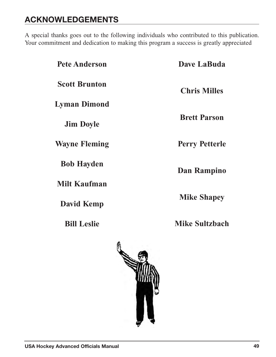# **ACKNOWLEDGEMENTS**

A special thanks goes out to the following individuals who contributed to this publication. Your commitment and dedication to making this program a success is greatly appreciated

| <b>Pete Anderson</b> | Dave LaBuda           |
|----------------------|-----------------------|
| <b>Scott Brunton</b> | <b>Chris Milles</b>   |
| <b>Lyman Dimond</b>  |                       |
| <b>Jim Doyle</b>     | <b>Brett Parson</b>   |
| <b>Wayne Fleming</b> | <b>Perry Petterle</b> |
| <b>Bob Hayden</b>    | Dan Rampino           |
| <b>Milt Kaufman</b>  |                       |
| <b>David Kemp</b>    | <b>Mike Shapey</b>    |
| <b>Bill Leslie</b>   | <b>Mike Sultzbach</b> |
|                      | A                     |

<span id="page-51-0"></span>